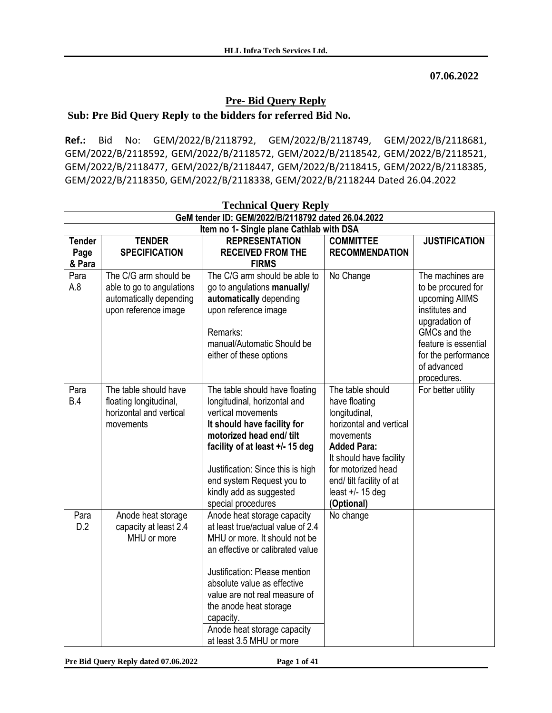**07.06.2022**

## **Pre- Bid Query Reply**

### **Sub: Pre Bid Query Reply to the bidders for referred Bid No.**

**Ref.:** Bid No: GEM/2022/B/2118792, GEM/2022/B/2118749, GEM/2022/B/2118681, GEM/2022/B/2118592, GEM/2022/B/2118572, GEM/2022/B/2118542, GEM/2022/B/2118521, GEM/2022/B/2118477, GEM/2022/B/2118447, GEM/2022/B/2118415, GEM/2022/B/2118385, GEM/2022/B/2118350, GEM/2022/B/2118338, GEM/2022/B/2118244 Dated 26.04.2022

| <b>Technical Query Reply</b>                       |                                                                                                       |                                                                                                                                                                                                                                                                                                                                          |                                                                                                                                                                                                                                   |                                                                                                                                                                                           |
|----------------------------------------------------|-------------------------------------------------------------------------------------------------------|------------------------------------------------------------------------------------------------------------------------------------------------------------------------------------------------------------------------------------------------------------------------------------------------------------------------------------------|-----------------------------------------------------------------------------------------------------------------------------------------------------------------------------------------------------------------------------------|-------------------------------------------------------------------------------------------------------------------------------------------------------------------------------------------|
| GeM tender ID: GEM/2022/B/2118792 dated 26.04.2022 |                                                                                                       |                                                                                                                                                                                                                                                                                                                                          |                                                                                                                                                                                                                                   |                                                                                                                                                                                           |
|                                                    |                                                                                                       | Item no 1- Single plane Cathlab with DSA                                                                                                                                                                                                                                                                                                 |                                                                                                                                                                                                                                   |                                                                                                                                                                                           |
| <b>Tender</b><br>Page<br>& Para                    | <b>TENDER</b><br><b>SPECIFICATION</b>                                                                 | <b>REPRESENTATION</b><br><b>RECEIVED FROM THE</b><br><b>FIRMS</b>                                                                                                                                                                                                                                                                        | <b>COMMITTEE</b><br><b>RECOMMENDATION</b>                                                                                                                                                                                         | <b>JUSTIFICATION</b>                                                                                                                                                                      |
| Para<br>A.8                                        | The C/G arm should be<br>able to go to angulations<br>automatically depending<br>upon reference image | The C/G arm should be able to<br>go to angulations manually/<br>automatically depending<br>upon reference image<br>Remarks:<br>manual/Automatic Should be<br>either of these options                                                                                                                                                     | No Change                                                                                                                                                                                                                         | The machines are<br>to be procured for<br>upcoming AllMS<br>institutes and<br>upgradation of<br>GMCs and the<br>feature is essential<br>for the performance<br>of advanced<br>procedures. |
| Para<br>B.4                                        | The table should have<br>floating longitudinal,<br>horizontal and vertical<br>movements               | The table should have floating<br>longitudinal, horizontal and<br>vertical movements<br>It should have facility for<br>motorized head end/ tilt<br>facility of at least +/- 15 deg<br>Justification: Since this is high<br>end system Request you to<br>kindly add as suggested<br>special procedures                                    | The table should<br>have floating<br>longitudinal,<br>horizontal and vertical<br>movements<br><b>Added Para:</b><br>It should have facility<br>for motorized head<br>end/ tilt facility of at<br>least $+/- 15$ deg<br>(Optional) | For better utility                                                                                                                                                                        |
| Para<br>D.2                                        | Anode heat storage<br>capacity at least 2.4<br>MHU or more                                            | Anode heat storage capacity<br>at least true/actual value of 2.4<br>MHU or more. It should not be<br>an effective or calibrated value<br>Justification: Please mention<br>absolute value as effective<br>value are not real measure of<br>the anode heat storage<br>capacity.<br>Anode heat storage capacity<br>at least 3.5 MHU or more | No change                                                                                                                                                                                                                         |                                                                                                                                                                                           |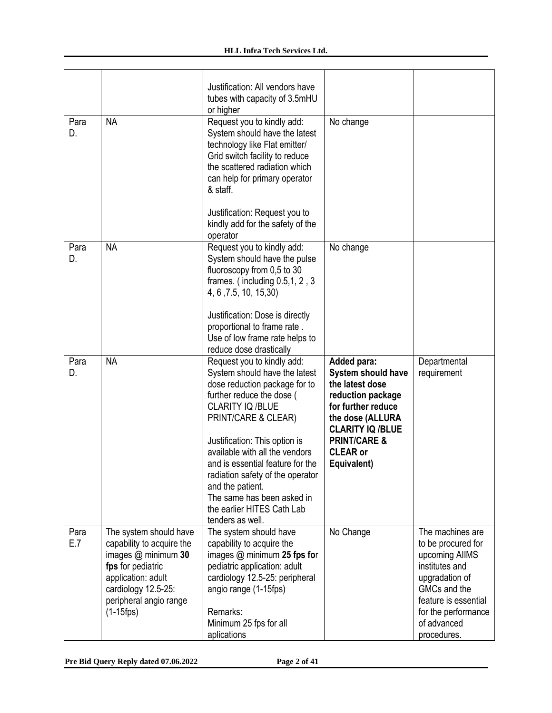|             |                                                                                                                                                                                          | Justification: All vendors have<br>tubes with capacity of 3.5mHU<br>or higher                                                                                                                                                                                                                                                                                                                                       |                                                                                                                                                                                                                   |                                                                                                                                                                                           |
|-------------|------------------------------------------------------------------------------------------------------------------------------------------------------------------------------------------|---------------------------------------------------------------------------------------------------------------------------------------------------------------------------------------------------------------------------------------------------------------------------------------------------------------------------------------------------------------------------------------------------------------------|-------------------------------------------------------------------------------------------------------------------------------------------------------------------------------------------------------------------|-------------------------------------------------------------------------------------------------------------------------------------------------------------------------------------------|
| Para<br>D.  | <b>NA</b>                                                                                                                                                                                | Request you to kindly add:<br>System should have the latest<br>technology like Flat emitter/<br>Grid switch facility to reduce<br>the scattered radiation which<br>can help for primary operator<br>& staff.<br>Justification: Request you to<br>kindly add for the safety of the<br>operator                                                                                                                       | No change                                                                                                                                                                                                         |                                                                                                                                                                                           |
| Para<br>D.  | <b>NA</b>                                                                                                                                                                                | Request you to kindly add:<br>System should have the pulse<br>fluoroscopy from 0,5 to 30<br>frames. (including $0.5, 1, 2, 3$<br>4, 6, 7.5, 10, 15, 30)<br>Justification: Dose is directly<br>proportional to frame rate.<br>Use of low frame rate helps to<br>reduce dose drastically                                                                                                                              | No change                                                                                                                                                                                                         |                                                                                                                                                                                           |
| Para<br>D.  | <b>NA</b>                                                                                                                                                                                | Request you to kindly add:<br>System should have the latest<br>dose reduction package for to<br>further reduce the dose (<br>CLARITY IQ /BLUE<br>PRINT/CARE & CLEAR)<br>Justification: This option is<br>available with all the vendors<br>and is essential feature for the<br>radiation safety of the operator<br>and the patient.<br>The same has been asked in<br>the earlier HITES Cath Lab<br>tenders as well. | Added para:<br><b>System should have</b><br>the latest dose<br>reduction package<br>for further reduce<br>the dose (ALLURA<br><b>CLARITY IQ/BLUE</b><br><b>PRINT/CARE &amp;</b><br><b>CLEAR or</b><br>Equivalent) | Departmental<br>requirement                                                                                                                                                               |
| Para<br>E.7 | The system should have<br>capability to acquire the<br>images $@$ minimum 30<br>fps for pediatric<br>application: adult<br>cardiology 12.5-25:<br>peripheral angio range<br>$(1-15$ fps) | The system should have<br>capability to acquire the<br>images $@$ minimum 25 fps for<br>pediatric application: adult<br>cardiology 12.5-25: peripheral<br>angio range (1-15fps)<br>Remarks:<br>Minimum 25 fps for all<br>aplications                                                                                                                                                                                | No Change                                                                                                                                                                                                         | The machines are<br>to be procured for<br>upcoming AIIMS<br>institutes and<br>upgradation of<br>GMCs and the<br>feature is essential<br>for the performance<br>of advanced<br>procedures. |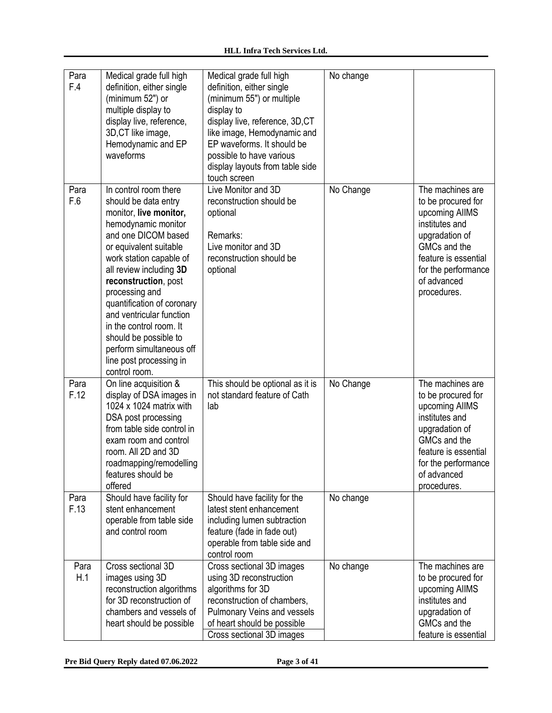| Para<br>F.4  | Medical grade full high<br>definition, either single<br>(minimum 52") or<br>multiple display to<br>display live, reference,<br>3D, CT like image,<br>Hemodynamic and EP<br>waveforms                                                                                                                                                                                                                                                  | Medical grade full high<br>definition, either single<br>(minimum 55") or multiple<br>display to<br>display live, reference, 3D,CT<br>like image, Hemodynamic and<br>EP waveforms. It should be<br>possible to have various<br>display layouts from table side<br>touch screen | No change |                                                                                                                                                                                           |
|--------------|---------------------------------------------------------------------------------------------------------------------------------------------------------------------------------------------------------------------------------------------------------------------------------------------------------------------------------------------------------------------------------------------------------------------------------------|-------------------------------------------------------------------------------------------------------------------------------------------------------------------------------------------------------------------------------------------------------------------------------|-----------|-------------------------------------------------------------------------------------------------------------------------------------------------------------------------------------------|
| Para<br>F.6  | In control room there<br>should be data entry<br>monitor, live monitor,<br>hemodynamic monitor<br>and one DICOM based<br>or equivalent suitable<br>work station capable of<br>all review including 3D<br>reconstruction, post<br>processing and<br>quantification of coronary<br>and ventricular function<br>in the control room. It<br>should be possible to<br>perform simultaneous off<br>line post processing in<br>control room. | Live Monitor and 3D<br>reconstruction should be<br>optional<br>Remarks:<br>Live monitor and 3D<br>reconstruction should be<br>optional                                                                                                                                        | No Change | The machines are<br>to be procured for<br>upcoming AIIMS<br>institutes and<br>upgradation of<br>GMCs and the<br>feature is essential<br>for the performance<br>of advanced<br>procedures. |
| Para<br>F.12 | On line acquisition &<br>display of DSA images in<br>1024 x 1024 matrix with<br>DSA post processing<br>from table side control in<br>exam room and control<br>room. All 2D and 3D<br>roadmapping/remodelling<br>features should be<br>offered                                                                                                                                                                                         | This should be optional as it is<br>not standard feature of Cath<br>lab                                                                                                                                                                                                       | No Change | The machines are<br>to be procured for<br>upcoming AllMS<br>institutes and<br>upgradation of<br>GMCs and the<br>feature is essential<br>for the performance<br>of advanced<br>procedures. |
| Para<br>F.13 | Should have facility for<br>stent enhancement<br>operable from table side<br>and control room                                                                                                                                                                                                                                                                                                                                         | Should have facility for the<br>latest stent enhancement<br>including lumen subtraction<br>feature (fade in fade out)<br>operable from table side and<br>control room                                                                                                         | No change |                                                                                                                                                                                           |
| Para<br>H.1  | Cross sectional 3D<br>images using 3D<br>reconstruction algorithms<br>for 3D reconstruction of<br>chambers and vessels of<br>heart should be possible                                                                                                                                                                                                                                                                                 | Cross sectional 3D images<br>using 3D reconstruction<br>algorithms for 3D<br>reconstruction of chambers,<br>Pulmonary Veins and vessels<br>of heart should be possible<br>Cross sectional 3D images                                                                           | No change | The machines are<br>to be procured for<br>upcoming AllMS<br>institutes and<br>upgradation of<br>GMCs and the<br>feature is essential                                                      |

**Pre Bid Query Reply dated 07.06.2022 Page 3 of 41**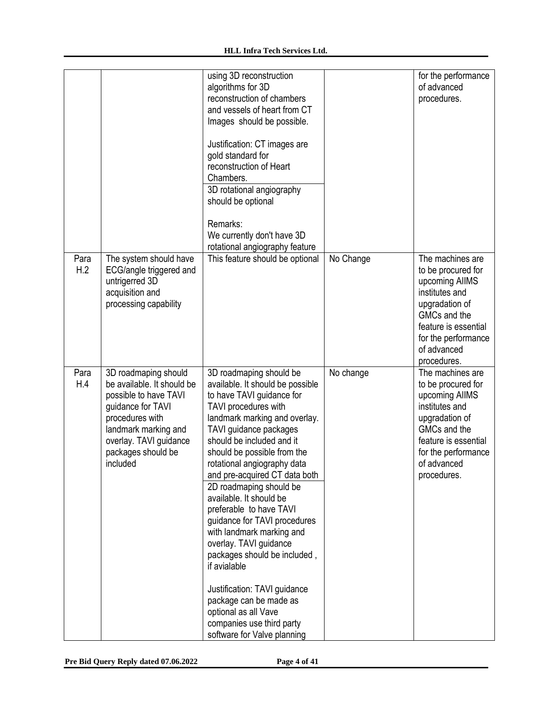|             |                                                                                                                                                                                                         | using 3D reconstruction<br>algorithms for 3D<br>reconstruction of chambers<br>and vessels of heart from CT<br>Images should be possible.<br>Justification: CT images are<br>gold standard for<br>reconstruction of Heart<br>Chambers.<br>3D rotational angiography<br>should be optional<br>Remarks:<br>We currently don't have 3D<br>rotational angiography feature                                                                                                                                                                                                                                                                                                          |           | for the performance<br>of advanced<br>procedures.                                                                                                                                         |
|-------------|---------------------------------------------------------------------------------------------------------------------------------------------------------------------------------------------------------|-------------------------------------------------------------------------------------------------------------------------------------------------------------------------------------------------------------------------------------------------------------------------------------------------------------------------------------------------------------------------------------------------------------------------------------------------------------------------------------------------------------------------------------------------------------------------------------------------------------------------------------------------------------------------------|-----------|-------------------------------------------------------------------------------------------------------------------------------------------------------------------------------------------|
| Para<br>H.2 | The system should have<br>ECG/angle triggered and<br>untrigerred 3D<br>acquisition and<br>processing capability                                                                                         | This feature should be optional                                                                                                                                                                                                                                                                                                                                                                                                                                                                                                                                                                                                                                               | No Change | The machines are<br>to be procured for<br>upcoming AIIMS<br>institutes and<br>upgradation of<br>GMCs and the<br>feature is essential<br>for the performance<br>of advanced<br>procedures. |
| Para<br>H.4 | 3D roadmaping should<br>be available. It should be<br>possible to have TAVI<br>guidance for TAVI<br>procedures with<br>landmark marking and<br>overlay. TAVI guidance<br>packages should be<br>included | 3D roadmaping should be<br>available. It should be possible<br>to have TAVI guidance for<br>TAVI procedures with<br>landmark marking and overlay.<br>TAVI guidance packages<br>should be included and it<br>should be possible from the<br>rotational angiography data<br>and pre-acquired CT data both<br>2D roadmaping should be<br>available. It should be<br>preferable to have TAVI<br>guidance for TAVI procedures<br>with landmark marking and<br>overlay. TAVI guidance<br>packages should be included,<br>if avialable<br>Justification: TAVI guidance<br>package can be made as<br>optional as all Vave<br>companies use third party<br>software for Valve planning | No change | The machines are<br>to be procured for<br>upcoming AIIMS<br>institutes and<br>upgradation of<br>GMCs and the<br>feature is essential<br>for the performance<br>of advanced<br>procedures. |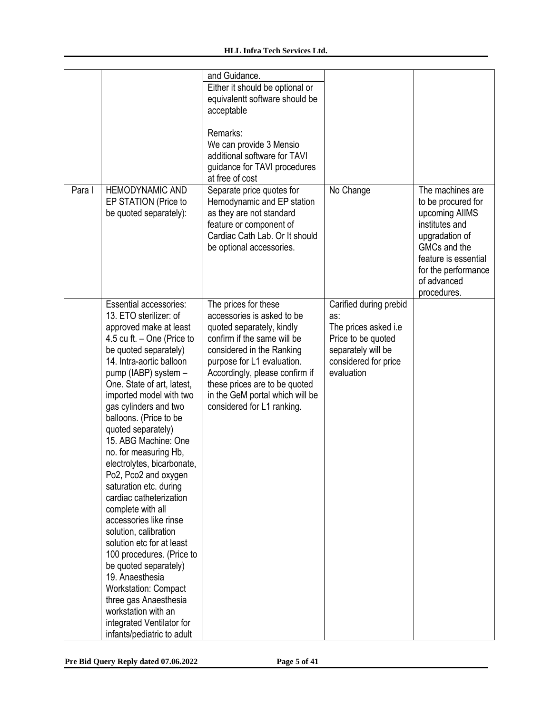|        |                                                        | and Guidance.<br>Either it should be optional or          |                                            |                                  |
|--------|--------------------------------------------------------|-----------------------------------------------------------|--------------------------------------------|----------------------------------|
|        |                                                        | equivalentt software should be<br>acceptable              |                                            |                                  |
|        |                                                        | Remarks:                                                  |                                            |                                  |
|        |                                                        | We can provide 3 Mensio                                   |                                            |                                  |
|        |                                                        | additional software for TAVI                              |                                            |                                  |
|        |                                                        | guidance for TAVI procedures                              |                                            |                                  |
|        |                                                        | at free of cost                                           |                                            |                                  |
| Para I | HEMODYNAMIC AND                                        | Separate price quotes for                                 | No Change                                  | The machines are                 |
|        | EP STATION (Price to                                   | Hemodynamic and EP station                                |                                            | to be procured for               |
|        | be quoted separately):                                 | as they are not standard                                  |                                            | upcoming AIIMS<br>institutes and |
|        |                                                        | feature or component of<br>Cardiac Cath Lab. Or It should |                                            | upgradation of                   |
|        |                                                        | be optional accessories.                                  |                                            | GMCs and the                     |
|        |                                                        |                                                           |                                            | feature is essential             |
|        |                                                        |                                                           |                                            | for the performance              |
|        |                                                        |                                                           |                                            | of advanced                      |
|        |                                                        |                                                           |                                            | procedures.                      |
|        | <b>Essential accessories:</b>                          | The prices for these                                      | Carified during prebid                     |                                  |
|        | 13. ETO sterilizer: of                                 | accessories is asked to be                                | as:                                        |                                  |
|        | approved make at least<br>4.5 cu ft. $-$ One (Price to | quoted separately, kindly<br>confirm if the same will be  | The prices asked i.e<br>Price to be quoted |                                  |
|        | be quoted separately)                                  | considered in the Ranking                                 | separately will be                         |                                  |
|        | 14. Intra-aortic balloon                               | purpose for L1 evaluation.                                | considered for price                       |                                  |
|        | pump (IABP) system -                                   | Accordingly, please confirm if                            | evaluation                                 |                                  |
|        | One. State of art, latest,                             | these prices are to be quoted                             |                                            |                                  |
|        | imported model with two                                | in the GeM portal which will be                           |                                            |                                  |
|        | gas cylinders and two                                  | considered for L1 ranking.                                |                                            |                                  |
|        | balloons. (Price to be                                 |                                                           |                                            |                                  |
|        | quoted separately)                                     |                                                           |                                            |                                  |
|        | 15. ABG Machine: One<br>no. for measuring Hb,          |                                                           |                                            |                                  |
|        | electrolytes, bicarbonate,                             |                                                           |                                            |                                  |
|        | Po2, Pco2 and oxygen                                   |                                                           |                                            |                                  |
|        | saturation etc. during                                 |                                                           |                                            |                                  |
|        | cardiac catheterization                                |                                                           |                                            |                                  |
|        | complete with all                                      |                                                           |                                            |                                  |
|        | accessories like rinse                                 |                                                           |                                            |                                  |
|        | solution, calibration                                  |                                                           |                                            |                                  |
|        | solution etc for at least                              |                                                           |                                            |                                  |
|        | 100 procedures. (Price to<br>be quoted separately)     |                                                           |                                            |                                  |
|        | 19. Anaesthesia                                        |                                                           |                                            |                                  |
|        | Workstation: Compact                                   |                                                           |                                            |                                  |
|        | three gas Anaesthesia                                  |                                                           |                                            |                                  |
|        | workstation with an                                    |                                                           |                                            |                                  |
|        | integrated Ventilator for                              |                                                           |                                            |                                  |
|        | infants/pediatric to adult                             |                                                           |                                            |                                  |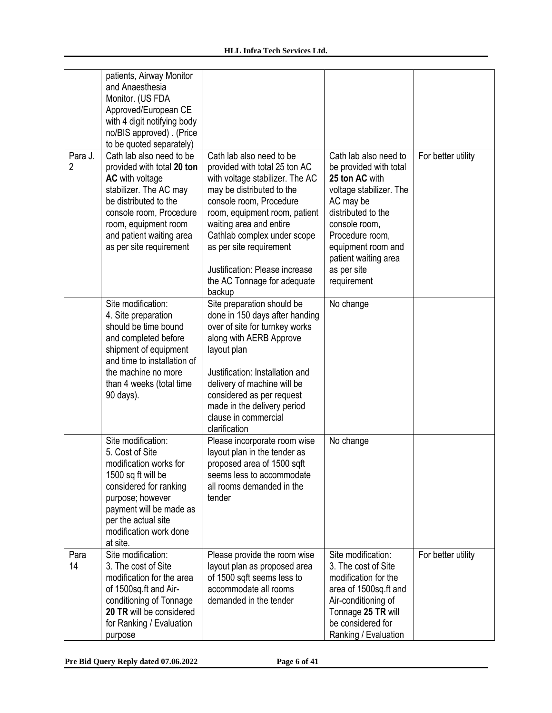| Para J.        | patients, Airway Monitor<br>and Anaesthesia<br>Monitor. (US FDA<br>Approved/European CE<br>with 4 digit notifying body<br>no/BIS approved) . (Price<br>to be quoted separately)<br>Cath lab also need to be                 | Cath lab also need to be                                                                                                                                                                                                                                                                                                  | Cath lab also need to                                                                                                                                                                                                  | For better utility |
|----------------|-----------------------------------------------------------------------------------------------------------------------------------------------------------------------------------------------------------------------------|---------------------------------------------------------------------------------------------------------------------------------------------------------------------------------------------------------------------------------------------------------------------------------------------------------------------------|------------------------------------------------------------------------------------------------------------------------------------------------------------------------------------------------------------------------|--------------------|
| $\overline{2}$ | provided with total 20 ton<br><b>AC</b> with voltage<br>stabilizer. The AC may<br>be distributed to the<br>console room, Procedure<br>room, equipment room<br>and patient waiting area<br>as per site requirement           | provided with total 25 ton AC<br>with voltage stabilizer. The AC<br>may be distributed to the<br>console room, Procedure<br>room, equipment room, patient<br>waiting area and entire<br>Cathlab complex under scope<br>as per site requirement<br>Justification: Please increase<br>the AC Tonnage for adequate<br>backup | be provided with total<br>25 ton AC with<br>voltage stabilizer. The<br>AC may be<br>distributed to the<br>console room,<br>Procedure room,<br>equipment room and<br>patient waiting area<br>as per site<br>requirement |                    |
|                | Site modification:<br>4. Site preparation<br>should be time bound<br>and completed before<br>shipment of equipment<br>and time to installation of<br>the machine no more<br>than 4 weeks (total time<br>90 days).           | Site preparation should be<br>done in 150 days after handing<br>over of site for turnkey works<br>along with AERB Approve<br>layout plan<br>Justification: Installation and<br>delivery of machine will be<br>considered as per request<br>made in the delivery period<br>clause in commercial<br>clarification           | No change                                                                                                                                                                                                              |                    |
|                | Site modification:<br>5. Cost of Site<br>modification works for<br>1500 sq ft will be<br>considered for ranking<br>purpose; however<br>payment will be made as<br>per the actual site<br>modification work done<br>at site. | Please incorporate room wise<br>layout plan in the tender as<br>proposed area of 1500 sqft<br>seems less to accommodate<br>all rooms demanded in the<br>tender                                                                                                                                                            | No change                                                                                                                                                                                                              |                    |
| Para<br>14     | Site modification:<br>3. The cost of Site<br>modification for the area<br>of 1500sq.ft and Air-<br>conditioning of Tonnage<br>20 TR will be considered<br>for Ranking / Evaluation<br>purpose                               | Please provide the room wise<br>layout plan as proposed area<br>of 1500 sqft seems less to<br>accommodate all rooms<br>demanded in the tender                                                                                                                                                                             | Site modification:<br>3. The cost of Site<br>modification for the<br>area of 1500sq.ft and<br>Air-conditioning of<br>Tonnage 25 TR will<br>be considered for<br>Ranking / Evaluation                                   | For better utility |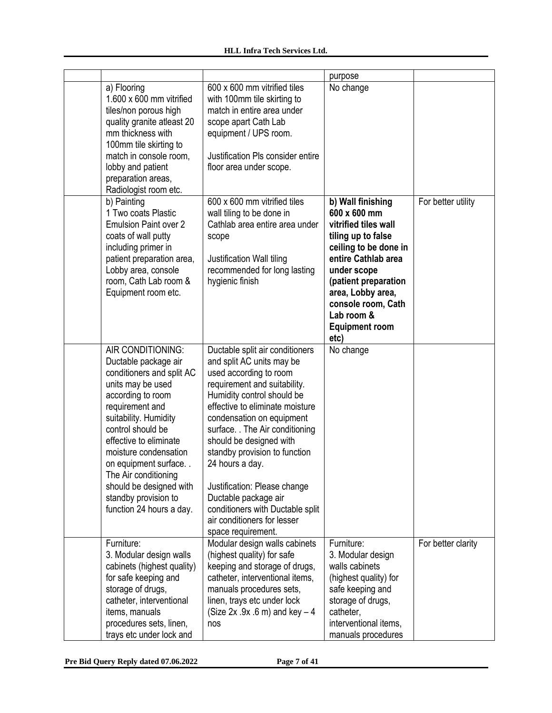|                                                                                                                                                                                                                                                                                                                                                                     |                                                                                                                                                                                                                                                                                                                                                                                                                                                                                         | purpose                                                                                                                                                                                                                                                          |                    |
|---------------------------------------------------------------------------------------------------------------------------------------------------------------------------------------------------------------------------------------------------------------------------------------------------------------------------------------------------------------------|-----------------------------------------------------------------------------------------------------------------------------------------------------------------------------------------------------------------------------------------------------------------------------------------------------------------------------------------------------------------------------------------------------------------------------------------------------------------------------------------|------------------------------------------------------------------------------------------------------------------------------------------------------------------------------------------------------------------------------------------------------------------|--------------------|
| a) Flooring<br>$1.600 \times 600$ mm vitrified<br>tiles/non porous high<br>quality granite atleast 20<br>mm thickness with<br>100mm tile skirting to<br>match in console room,<br>lobby and patient<br>preparation areas,<br>Radiologist room etc.                                                                                                                  | 600 x 600 mm vitrified tiles<br>with 100mm tile skirting to<br>match in entire area under<br>scope apart Cath Lab<br>equipment / UPS room.<br>Justification PIs consider entire<br>floor area under scope.                                                                                                                                                                                                                                                                              | No change                                                                                                                                                                                                                                                        |                    |
| b) Painting<br>1 Two coats Plastic<br><b>Emulsion Paint over 2</b><br>coats of wall putty<br>including primer in<br>patient preparation area,<br>Lobby area, console<br>room, Cath Lab room &<br>Equipment room etc.                                                                                                                                                | 600 x 600 mm vitrified tiles<br>wall tiling to be done in<br>Cathlab area entire area under<br>scope<br>Justification Wall tiling<br>recommended for long lasting<br>hygienic finish                                                                                                                                                                                                                                                                                                    | b) Wall finishing<br>600 x 600 mm<br>vitrified tiles wall<br>tiling up to false<br>ceiling to be done in<br>entire Cathlab area<br>under scope<br>(patient preparation<br>area, Lobby area,<br>console room, Cath<br>Lab room &<br><b>Equipment room</b><br>etc) | For better utility |
| AIR CONDITIONING:<br>Ductable package air<br>conditioners and split AC<br>units may be used<br>according to room<br>requirement and<br>suitability. Humidity<br>control should be<br>effective to eliminate<br>moisture condensation<br>on equipment surface<br>The Air conditioning<br>should be designed with<br>standby provision to<br>function 24 hours a day. | Ductable split air conditioners<br>and split AC units may be<br>used according to room<br>requirement and suitability.<br>Humidity control should be<br>effective to eliminate moisture<br>condensation on equipment<br>surface. . The Air conditioning<br>should be designed with<br>standby provision to function<br>24 hours a day.<br>Justification: Please change<br>Ductable package air<br>conditioners with Ductable split<br>air conditioners for lesser<br>space requirement. | No change                                                                                                                                                                                                                                                        |                    |
| Furniture:<br>3. Modular design walls<br>cabinets (highest quality)<br>for safe keeping and<br>storage of drugs,<br>catheter, interventional<br>items, manuals<br>procedures sets, linen,<br>trays etc under lock and                                                                                                                                               | Modular design walls cabinets<br>(highest quality) for safe<br>keeping and storage of drugs,<br>catheter, interventional items,<br>manuals procedures sets,<br>linen, trays etc under lock<br>(Size $2x .9x .6$ m) and key $-4$<br>nos                                                                                                                                                                                                                                                  | Furniture:<br>3. Modular design<br>walls cabinets<br>(highest quality) for<br>safe keeping and<br>storage of drugs,<br>catheter,<br>interventional items,<br>manuals procedures                                                                                  | For better clarity |

**Pre Bid Query Reply dated 07.06.2022 Page 7 of 41**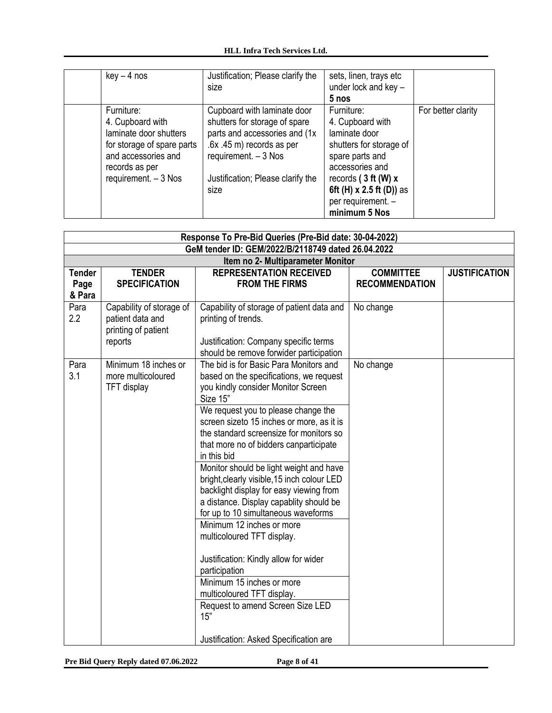| $key - 4$ nos                                                                                                                                            | Justification; Please clarify the<br>size                                                                                                                                                         | sets, linen, trays etc<br>under lock and key -<br>5 nos                                                                                                                                                       |                    |
|----------------------------------------------------------------------------------------------------------------------------------------------------------|---------------------------------------------------------------------------------------------------------------------------------------------------------------------------------------------------|---------------------------------------------------------------------------------------------------------------------------------------------------------------------------------------------------------------|--------------------|
| Furniture:<br>4. Cupboard with<br>laminate door shutters<br>for storage of spare parts<br>and accessories and<br>records as per<br>requirement. $-3$ Nos | Cupboard with laminate door<br>shutters for storage of spare<br>parts and accessories and (1x)<br>.6x .45 m) records as per<br>requirement. $-3$ Nos<br>Justification; Please clarify the<br>size | Furniture:<br>4. Cupboard with<br>laminate door<br>shutters for storage of<br>spare parts and<br>accessories and<br>records $(3 ft (W) x)$<br>6ft (H) x 2.5 ft (D)) as<br>per requirement. -<br>minimum 5 Nos | For better clarity |

|               | Response To Pre-Bid Queries (Pre-Bid date: 30-04-2022) |                                                                                        |                       |                      |  |
|---------------|--------------------------------------------------------|----------------------------------------------------------------------------------------|-----------------------|----------------------|--|
|               | GeM tender ID: GEM/2022/B/2118749 dated 26.04.2022     |                                                                                        |                       |                      |  |
|               |                                                        | Item no 2- Multiparameter Monitor                                                      |                       |                      |  |
| <b>Tender</b> | <b>TENDER</b>                                          | <b>REPRESENTATION RECEIVED</b>                                                         | <b>COMMITTEE</b>      | <b>JUSTIFICATION</b> |  |
| Page          | <b>SPECIFICATION</b>                                   | <b>FROM THE FIRMS</b>                                                                  | <b>RECOMMENDATION</b> |                      |  |
| & Para        |                                                        |                                                                                        |                       |                      |  |
| Para          | Capability of storage of                               | Capability of storage of patient data and                                              | No change             |                      |  |
| 2.2           | patient data and                                       | printing of trends.                                                                    |                       |                      |  |
|               | printing of patient                                    |                                                                                        |                       |                      |  |
|               | reports                                                | Justification: Company specific terms                                                  |                       |                      |  |
|               |                                                        | should be remove forwider participation                                                |                       |                      |  |
| Para          | Minimum 18 inches or                                   | The bid is for Basic Para Monitors and                                                 | No change             |                      |  |
| 3.1           | more multicoloured                                     | based on the specifications, we request                                                |                       |                      |  |
|               | <b>TFT</b> display                                     | you kindly consider Monitor Screen                                                     |                       |                      |  |
|               |                                                        | Size 15"                                                                               |                       |                      |  |
|               |                                                        | We request you to please change the                                                    |                       |                      |  |
|               |                                                        | screen sizeto 15 inches or more, as it is                                              |                       |                      |  |
|               |                                                        | the standard screensize for monitors so                                                |                       |                      |  |
|               |                                                        | that more no of bidders canparticipate                                                 |                       |                      |  |
|               |                                                        | in this bid                                                                            |                       |                      |  |
|               |                                                        | Monitor should be light weight and have<br>bright, clearly visible, 15 inch colour LED |                       |                      |  |
|               |                                                        | backlight display for easy viewing from                                                |                       |                      |  |
|               |                                                        | a distance. Display capablity should be                                                |                       |                      |  |
|               |                                                        | for up to 10 simultaneous waveforms                                                    |                       |                      |  |
|               |                                                        | Minimum 12 inches or more                                                              |                       |                      |  |
|               |                                                        | multicoloured TFT display.                                                             |                       |                      |  |
|               |                                                        |                                                                                        |                       |                      |  |
|               |                                                        | Justification: Kindly allow for wider                                                  |                       |                      |  |
|               |                                                        | participation                                                                          |                       |                      |  |
|               |                                                        | Minimum 15 inches or more                                                              |                       |                      |  |
|               |                                                        | multicoloured TFT display.                                                             |                       |                      |  |
|               |                                                        | Request to amend Screen Size LED                                                       |                       |                      |  |
|               |                                                        | 15"                                                                                    |                       |                      |  |
|               |                                                        |                                                                                        |                       |                      |  |
|               |                                                        | Justification: Asked Specification are                                                 |                       |                      |  |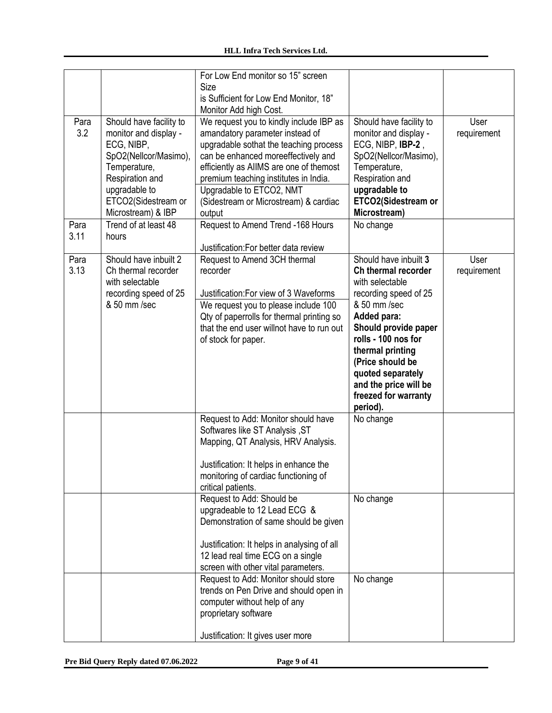|              |                                                                                                                                                                                          | For Low End monitor so 15" screen<br>Size<br>is Sufficient for Low End Monitor, 18"<br>Monitor Add high Cost.                                                                                                                                                                                                                  |                                                                                                                                                                                                                                                                                                  |                     |
|--------------|------------------------------------------------------------------------------------------------------------------------------------------------------------------------------------------|--------------------------------------------------------------------------------------------------------------------------------------------------------------------------------------------------------------------------------------------------------------------------------------------------------------------------------|--------------------------------------------------------------------------------------------------------------------------------------------------------------------------------------------------------------------------------------------------------------------------------------------------|---------------------|
| Para<br>3.2  | Should have facility to<br>monitor and display -<br>ECG, NIBP,<br>SpO2(Nellcor/Masimo),<br>Temperature,<br>Respiration and<br>upgradable to<br>ETCO2(Sidestream or<br>Microstream) & IBP | We request you to kindly include IBP as<br>amandatory parameter instead of<br>upgradable sothat the teaching process<br>can be enhanced moreeffectively and<br>efficiently as AIIMS are one of themost<br>premium teaching institutes in India.<br>Upgradable to ETCO2, NMT<br>(Sidestream or Microstream) & cardiac<br>output | Should have facility to<br>monitor and display -<br>ECG, NIBP, IBP-2,<br>SpO2(Nellcor/Masimo),<br>Temperature,<br>Respiration and<br>upgradable to<br>ETCO2(Sidestream or<br>Microstream)                                                                                                        | User<br>requirement |
| Para<br>3.11 | Trend of at least 48<br>hours                                                                                                                                                            | Request to Amend Trend -168 Hours<br>Justification: For better data review                                                                                                                                                                                                                                                     | No change                                                                                                                                                                                                                                                                                        |                     |
| Para<br>3.13 | Should have inbuilt 2<br>Ch thermal recorder<br>with selectable<br>recording speed of 25<br>& 50 mm /sec                                                                                 | Request to Amend 3CH thermal<br>recorder<br>Justification: For view of 3 Waveforms<br>We request you to please include 100<br>Qty of paperrolls for thermal printing so<br>that the end user willnot have to run out<br>of stock for paper.                                                                                    | Should have inbuilt 3<br>Ch thermal recorder<br>with selectable<br>recording speed of 25<br>& 50 mm /sec<br>Added para:<br>Should provide paper<br>rolls - 100 nos for<br>thermal printing<br>(Price should be<br>quoted separately<br>and the price will be<br>freezed for warranty<br>period). | User<br>requirement |
|              |                                                                                                                                                                                          | Request to Add: Monitor should have<br>Softwares like ST Analysis, ST<br>Mapping, QT Analysis, HRV Analysis.<br>Justification: It helps in enhance the<br>monitoring of cardiac functioning of<br>critical patients.                                                                                                           | No change                                                                                                                                                                                                                                                                                        |                     |
|              |                                                                                                                                                                                          | Request to Add: Should be<br>upgradeable to 12 Lead ECG &<br>Demonstration of same should be given<br>Justification: It helps in analysing of all<br>12 lead real time ECG on a single<br>screen with other vital parameters.                                                                                                  | No change                                                                                                                                                                                                                                                                                        |                     |
|              |                                                                                                                                                                                          | Request to Add: Monitor should store<br>trends on Pen Drive and should open in<br>computer without help of any<br>proprietary software<br>Justification: It gives user more                                                                                                                                                    | No change                                                                                                                                                                                                                                                                                        |                     |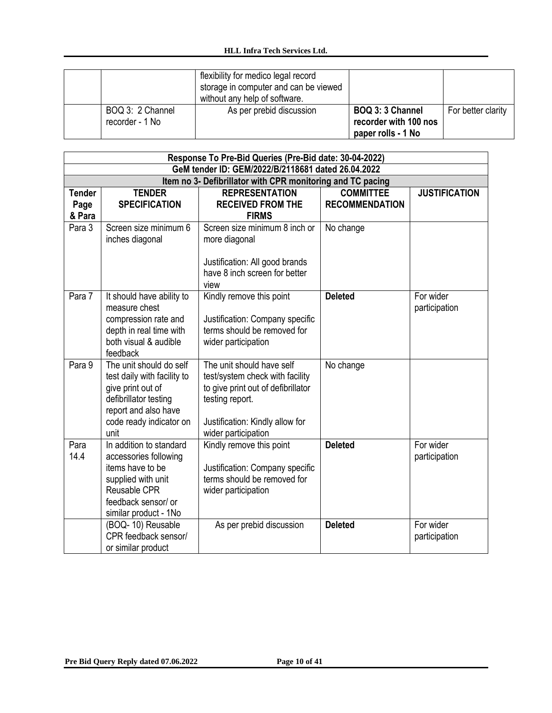|                                     | flexibility for medico legal record<br>storage in computer and can be viewed<br>without any help of software. |                                                                 |                    |
|-------------------------------------|---------------------------------------------------------------------------------------------------------------|-----------------------------------------------------------------|--------------------|
| BOQ 3: 2 Channel<br>recorder - 1 No | As per prebid discussion                                                                                      | BOQ 3: 3 Channel<br>recorder with 100 nos<br>paper rolls - 1 No | For better clarity |

|               |                                                            | Response To Pre-Bid Queries (Pre-Bid date: 30-04-2022) |                       |                      |  |
|---------------|------------------------------------------------------------|--------------------------------------------------------|-----------------------|----------------------|--|
|               | GeM tender ID: GEM/2022/B/2118681 dated 26.04.2022         |                                                        |                       |                      |  |
|               | Item no 3- Defibrillator with CPR monitoring and TC pacing |                                                        |                       |                      |  |
| <b>Tender</b> | <b>TENDER</b>                                              | <b>REPRESENTATION</b>                                  | <b>COMMITTEE</b>      | <b>JUSTIFICATION</b> |  |
| Page          | <b>SPECIFICATION</b>                                       | <b>RECEIVED FROM THE</b>                               | <b>RECOMMENDATION</b> |                      |  |
| & Para        |                                                            | <b>FIRMS</b>                                           |                       |                      |  |
| Para 3        | Screen size minimum 6                                      | Screen size minimum 8 inch or                          | No change             |                      |  |
|               | inches diagonal                                            | more diagonal                                          |                       |                      |  |
|               |                                                            | Justification: All good brands                         |                       |                      |  |
|               |                                                            | have 8 inch screen for better                          |                       |                      |  |
|               |                                                            | view                                                   |                       |                      |  |
| Para 7        | It should have ability to                                  | Kindly remove this point                               | <b>Deleted</b>        | For wider            |  |
|               | measure chest                                              |                                                        |                       | participation        |  |
|               | compression rate and                                       | Justification: Company specific                        |                       |                      |  |
|               | depth in real time with                                    | terms should be removed for                            |                       |                      |  |
|               | both visual & audible                                      | wider participation                                    |                       |                      |  |
|               | feedback                                                   |                                                        |                       |                      |  |
| Para 9        | The unit should do self                                    | The unit should have self                              | No change             |                      |  |
|               | test daily with facility to                                | test/system check with facility                        |                       |                      |  |
|               | give print out of                                          | to give print out of defibrillator                     |                       |                      |  |
|               | defibrillator testing                                      | testing report.                                        |                       |                      |  |
|               | report and also have                                       |                                                        |                       |                      |  |
|               | code ready indicator on<br>unit                            | Justification: Kindly allow for                        |                       |                      |  |
| Para          | In addition to standard                                    | wider participation<br>Kindly remove this point        | <b>Deleted</b>        | For wider            |  |
| 14.4          | accessories following                                      |                                                        |                       | participation        |  |
|               | items have to be                                           | Justification: Company specific                        |                       |                      |  |
|               | supplied with unit                                         | terms should be removed for                            |                       |                      |  |
|               | Reusable CPR                                               | wider participation                                    |                       |                      |  |
|               | feedback sensor/ or                                        |                                                        |                       |                      |  |
|               | similar product - 1No                                      |                                                        |                       |                      |  |
|               | (BOQ-10) Reusable                                          | As per prebid discussion                               | <b>Deleted</b>        | For wider            |  |
|               | CPR feedback sensor/                                       |                                                        |                       | participation        |  |
|               | or similar product                                         |                                                        |                       |                      |  |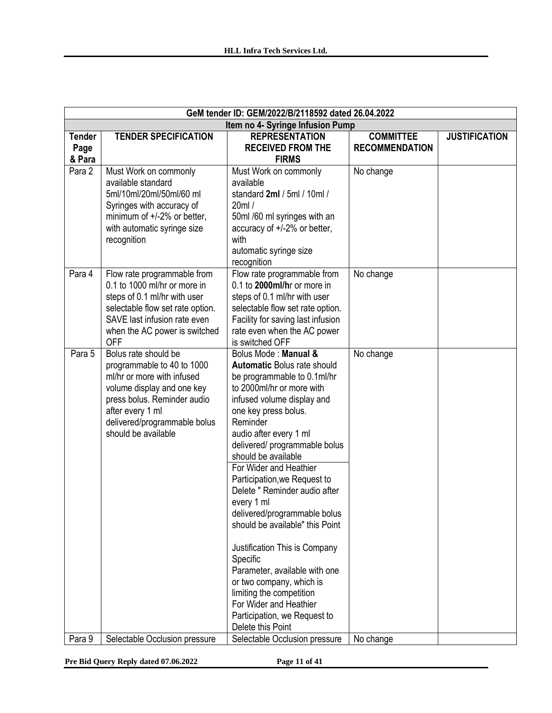|                                 | GeM tender ID: GEM/2022/B/2118592 dated 26.04.2022                                                                                                                                                                       |                                                                                                                                                                                                                                                                                                                                                                                                                                                                                                                                                                                                                                                                             |                                           |                      |
|---------------------------------|--------------------------------------------------------------------------------------------------------------------------------------------------------------------------------------------------------------------------|-----------------------------------------------------------------------------------------------------------------------------------------------------------------------------------------------------------------------------------------------------------------------------------------------------------------------------------------------------------------------------------------------------------------------------------------------------------------------------------------------------------------------------------------------------------------------------------------------------------------------------------------------------------------------------|-------------------------------------------|----------------------|
|                                 |                                                                                                                                                                                                                          | Item no 4- Syringe Infusion Pump                                                                                                                                                                                                                                                                                                                                                                                                                                                                                                                                                                                                                                            |                                           |                      |
| <b>Tender</b><br>Page<br>& Para | <b>TENDER SPECIFICATION</b>                                                                                                                                                                                              | <b>REPRESENTATION</b><br><b>RECEIVED FROM THE</b><br><b>FIRMS</b>                                                                                                                                                                                                                                                                                                                                                                                                                                                                                                                                                                                                           | <b>COMMITTEE</b><br><b>RECOMMENDATION</b> | <b>JUSTIFICATION</b> |
| Para 2                          | Must Work on commonly<br>available standard<br>5ml/10ml/20ml/50ml/60 ml<br>Syringes with accuracy of<br>minimum of +/-2% or better,<br>with automatic syringe size<br>recognition                                        | Must Work on commonly<br>available<br>standard 2ml / 5ml / 10ml /<br>20ml/<br>50ml /60 ml syringes with an<br>accuracy of +/-2% or better,<br>with<br>automatic syringe size<br>recognition                                                                                                                                                                                                                                                                                                                                                                                                                                                                                 | No change                                 |                      |
| Para 4                          | Flow rate programmable from<br>0.1 to 1000 ml/hr or more in<br>steps of 0.1 ml/hr with user<br>selectable flow set rate option.<br>SAVE last infusion rate even<br>when the AC power is switched<br><b>OFF</b>           | Flow rate programmable from<br>0.1 to 2000ml/hr or more in<br>steps of 0.1 ml/hr with user<br>selectable flow set rate option.<br>Facility for saving last infusion<br>rate even when the AC power<br>is switched OFF                                                                                                                                                                                                                                                                                                                                                                                                                                                       | No change                                 |                      |
| Para 5                          | Bolus rate should be<br>programmable to 40 to 1000<br>ml/hr or more with infused<br>volume display and one key<br>press bolus. Reminder audio<br>after every 1 ml<br>delivered/programmable bolus<br>should be available | Bolus Mode: Manual &<br><b>Automatic Bolus rate should</b><br>be programmable to 0.1ml/hr<br>to 2000ml/hr or more with<br>infused volume display and<br>one key press bolus.<br>Reminder<br>audio after every 1 ml<br>delivered/ programmable bolus<br>should be available<br>For Wider and Heathier<br>Participation, we Request to<br>Delete " Reminder audio after<br>every 1 ml<br>delivered/programmable bolus<br>should be available" this Point<br>Justification This is Company<br>Specific<br>Parameter, available with one<br>or two company, which is<br>limiting the competition<br>For Wider and Heathier<br>Participation, we Request to<br>Delete this Point | No change                                 |                      |
| Para 9                          | Selectable Occlusion pressure                                                                                                                                                                                            | Selectable Occlusion pressure                                                                                                                                                                                                                                                                                                                                                                                                                                                                                                                                                                                                                                               | No change                                 |                      |

**Pre Bid Query Reply dated 07.06.2022 Page 11 of 41**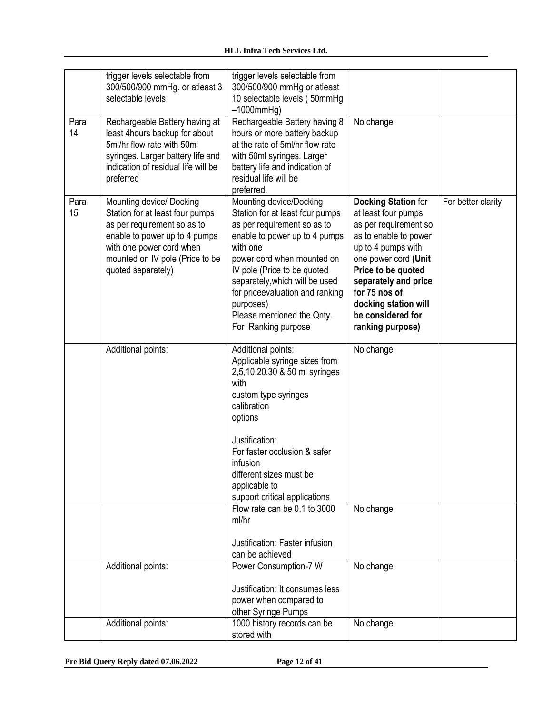|            | trigger levels selectable from<br>300/500/900 mmHg. or atleast 3<br>selectable levels                                                                                                                            | trigger levels selectable from<br>300/500/900 mmHg or atleast<br>10 selectable levels (50mmHg)<br>$-1000$ mm $Hg$ )                                                                                                                                                                                                                        |                                                                                                                                                                                                                                                                                   |                    |
|------------|------------------------------------------------------------------------------------------------------------------------------------------------------------------------------------------------------------------|--------------------------------------------------------------------------------------------------------------------------------------------------------------------------------------------------------------------------------------------------------------------------------------------------------------------------------------------|-----------------------------------------------------------------------------------------------------------------------------------------------------------------------------------------------------------------------------------------------------------------------------------|--------------------|
| Para<br>14 | Rechargeable Battery having at<br>least 4hours backup for about<br>5ml/hr flow rate with 50ml<br>syringes. Larger battery life and<br>indication of residual life will be<br>preferred                           | Rechargeable Battery having 8<br>hours or more battery backup<br>at the rate of 5ml/hr flow rate<br>with 50ml syringes. Larger<br>battery life and indication of<br>residual life will be<br>preferred.                                                                                                                                    | No change                                                                                                                                                                                                                                                                         |                    |
| Para<br>15 | Mounting device/ Docking<br>Station for at least four pumps<br>as per requirement so as to<br>enable to power up to 4 pumps<br>with one power cord when<br>mounted on IV pole (Price to be<br>quoted separately) | Mounting device/Docking<br>Station for at least four pumps<br>as per requirement so as to<br>enable to power up to 4 pumps<br>with one<br>power cord when mounted on<br>IV pole (Price to be quoted<br>separately, which will be used<br>for priceevaluation and ranking<br>purposes)<br>Please mentioned the Qnty.<br>For Ranking purpose | <b>Docking Station for</b><br>at least four pumps<br>as per requirement so<br>as to enable to power<br>up to 4 pumps with<br>one power cord (Unit<br>Price to be quoted<br>separately and price<br>for 75 nos of<br>docking station will<br>be considered for<br>ranking purpose) | For better clarity |
|            | Additional points:                                                                                                                                                                                               | Additional points:<br>Applicable syringe sizes from<br>2,5,10,20,30 & 50 ml syringes<br>with<br>custom type syringes<br>calibration<br>options<br>Justification:<br>For faster occlusion & safer<br>infusion<br>different sizes must be<br>applicable to<br>support critical applications                                                  | No change                                                                                                                                                                                                                                                                         |                    |
|            |                                                                                                                                                                                                                  | Flow rate can be 0.1 to 3000<br>ml/hr<br>Justification: Faster infusion<br>can be achieved                                                                                                                                                                                                                                                 | No change                                                                                                                                                                                                                                                                         |                    |
|            | Additional points:                                                                                                                                                                                               | Power Consumption-7 W<br>Justification: It consumes less<br>power when compared to<br>other Syringe Pumps                                                                                                                                                                                                                                  | No change                                                                                                                                                                                                                                                                         |                    |
|            | Additional points:                                                                                                                                                                                               | 1000 history records can be<br>stored with                                                                                                                                                                                                                                                                                                 | No change                                                                                                                                                                                                                                                                         |                    |

**Pre Bid Query Reply dated 07.06.2022 Page 12 of 41**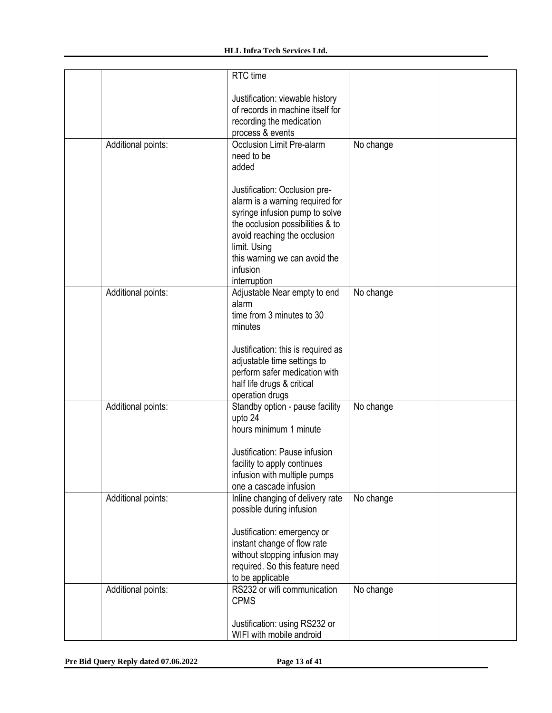|                    | RTC time                           |           |  |
|--------------------|------------------------------------|-----------|--|
|                    | Justification: viewable history    |           |  |
|                    | of records in machine itself for   |           |  |
|                    | recording the medication           |           |  |
|                    | process & events                   |           |  |
| Additional points: | Occlusion Limit Pre-alarm          | No change |  |
|                    | need to be                         |           |  |
|                    | added                              |           |  |
|                    | Justification: Occlusion pre-      |           |  |
|                    | alarm is a warning required for    |           |  |
|                    | syringe infusion pump to solve     |           |  |
|                    | the occlusion possibilities & to   |           |  |
|                    | avoid reaching the occlusion       |           |  |
|                    | limit. Using                       |           |  |
|                    | this warning we can avoid the      |           |  |
|                    | infusion                           |           |  |
|                    | interruption                       |           |  |
| Additional points: | Adjustable Near empty to end       | No change |  |
|                    | alarm<br>time from 3 minutes to 30 |           |  |
|                    | minutes                            |           |  |
|                    |                                    |           |  |
|                    | Justification: this is required as |           |  |
|                    | adjustable time settings to        |           |  |
|                    | perform safer medication with      |           |  |
|                    | half life drugs & critical         |           |  |
|                    | operation drugs                    |           |  |
| Additional points: | Standby option - pause facility    | No change |  |
|                    | upto 24<br>hours minimum 1 minute  |           |  |
|                    |                                    |           |  |
|                    | Justification: Pause infusion      |           |  |
|                    | facility to apply continues        |           |  |
|                    | infusion with multiple pumps       |           |  |
|                    | one a cascade infusion             |           |  |
| Additional points: | Inline changing of delivery rate   | No change |  |
|                    | possible during infusion           |           |  |
|                    | Justification: emergency or        |           |  |
|                    | instant change of flow rate        |           |  |
|                    | without stopping infusion may      |           |  |
|                    | required. So this feature need     |           |  |
|                    | to be applicable                   |           |  |
| Additional points: | RS232 or wifi communication        | No change |  |
|                    | <b>CPMS</b>                        |           |  |
|                    |                                    |           |  |
|                    | Justification: using RS232 or      |           |  |
|                    | WIFI with mobile android           |           |  |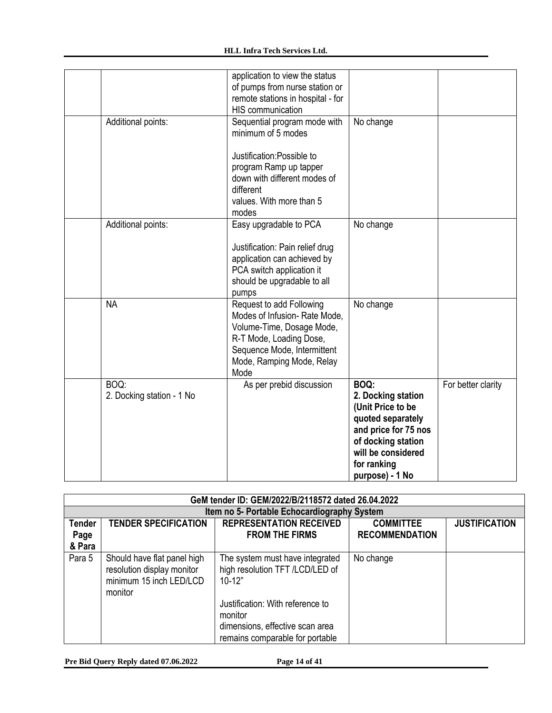|                                   | application to view the status<br>of pumps from nurse station or<br>remote stations in hospital - for<br><b>HIS communication</b>                                                            |                                                                                                                                                                            |                    |
|-----------------------------------|----------------------------------------------------------------------------------------------------------------------------------------------------------------------------------------------|----------------------------------------------------------------------------------------------------------------------------------------------------------------------------|--------------------|
| Additional points:                | Sequential program mode with<br>minimum of 5 modes<br>Justification: Possible to<br>program Ramp up tapper<br>down with different modes of<br>different<br>values. With more than 5<br>modes | No change                                                                                                                                                                  |                    |
| Additional points:                | Easy upgradable to PCA<br>Justification: Pain relief drug<br>application can achieved by<br>PCA switch application it<br>should be upgradable to all<br>pumps                                | No change                                                                                                                                                                  |                    |
| <b>NA</b>                         | Request to add Following<br>Modes of Infusion-Rate Mode,<br>Volume-Time, Dosage Mode,<br>R-T Mode, Loading Dose,<br>Sequence Mode, Intermittent<br>Mode, Ramping Mode, Relay<br>Mode         | No change                                                                                                                                                                  |                    |
| BOQ:<br>2. Docking station - 1 No | As per prebid discussion                                                                                                                                                                     | BOQ:<br>2. Docking station<br>(Unit Price to be<br>quoted separately<br>and price for 75 nos<br>of docking station<br>will be considered<br>for ranking<br>purpose) - 1 No | For better clarity |

|                                 | GeM tender ID: GEM/2022/B/2118572 dated 26.04.2022                                              |                                                                                                                   |                                           |                      |
|---------------------------------|-------------------------------------------------------------------------------------------------|-------------------------------------------------------------------------------------------------------------------|-------------------------------------------|----------------------|
|                                 |                                                                                                 | Item no 5- Portable Echocardiography System                                                                       |                                           |                      |
| <b>Tender</b><br>Page<br>& Para | <b>TENDER SPECIFICATION</b>                                                                     | <b>REPRESENTATION RECEIVED</b><br><b>FROM THE FIRMS</b>                                                           | <b>COMMITTEE</b><br><b>RECOMMENDATION</b> | <b>JUSTIFICATION</b> |
| Para 5                          | Should have flat panel high<br>resolution display monitor<br>minimum 15 inch LED/LCD<br>monitor | The system must have integrated<br>high resolution TFT /LCD/LED of<br>$10 - 12"$                                  | No change                                 |                      |
|                                 |                                                                                                 | Justification: With reference to<br>monitor<br>dimensions, effective scan area<br>remains comparable for portable |                                           |                      |

**Pre Bid Query Reply dated 07.06.2022 Page 14 of 41**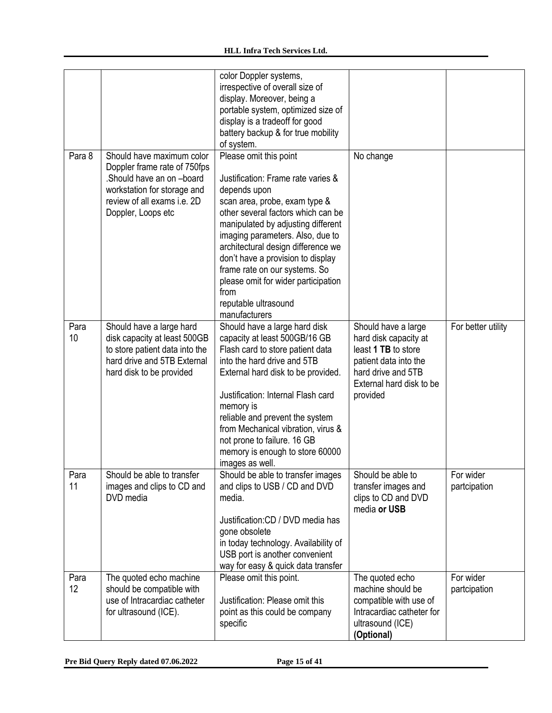|            |                                                                                                                                                                           | color Doppler systems,<br>irrespective of overall size of<br>display. Moreover, being a<br>portable system, optimized size of<br>display is a tradeoff for good<br>battery backup & for true mobility<br>of system.                                                                                                                                                                                                               |                                                                                                                                                            |                           |
|------------|---------------------------------------------------------------------------------------------------------------------------------------------------------------------------|-----------------------------------------------------------------------------------------------------------------------------------------------------------------------------------------------------------------------------------------------------------------------------------------------------------------------------------------------------------------------------------------------------------------------------------|------------------------------------------------------------------------------------------------------------------------------------------------------------|---------------------------|
| Para 8     | Should have maximum color<br>Doppler frame rate of 750fps<br>.Should have an on-board<br>workstation for storage and<br>review of all exams i.e. 2D<br>Doppler, Loops etc | Please omit this point<br>Justification: Frame rate varies &<br>depends upon<br>scan area, probe, exam type &<br>other several factors which can be<br>manipulated by adjusting different<br>imaging parameters. Also, due to<br>architectural design difference we<br>don't have a provision to display<br>frame rate on our systems. So<br>please omit for wider participation<br>from<br>reputable ultrasound<br>manufacturers | No change                                                                                                                                                  |                           |
| Para<br>10 | Should have a large hard<br>disk capacity at least 500GB<br>to store patient data into the<br>hard drive and 5TB External<br>hard disk to be provided                     | Should have a large hard disk<br>capacity at least 500GB/16 GB<br>Flash card to store patient data<br>into the hard drive and 5TB<br>External hard disk to be provided.<br>Justification: Internal Flash card<br>memory is<br>reliable and prevent the system<br>from Mechanical vibration, virus &<br>not prone to failure. 16 GB<br>memory is enough to store 60000<br>images as well.                                          | Should have a large<br>hard disk capacity at<br>least 1 TB to store<br>patient data into the<br>hard drive and 5TB<br>External hard disk to be<br>provided | For better utility        |
| Para<br>11 | Should be able to transfer<br>images and clips to CD and<br>DVD media                                                                                                     | Should be able to transfer images<br>and clips to USB / CD and DVD<br>media.<br>Justification: CD / DVD media has<br>gone obsolete<br>in today technology. Availability of<br>USB port is another convenient<br>way for easy & quick data transfer                                                                                                                                                                                | Should be able to<br>transfer images and<br>clips to CD and DVD<br>media or USB                                                                            | For wider<br>partcipation |
| Para<br>12 | The quoted echo machine<br>should be compatible with<br>use of Intracardiac catheter<br>for ultrasound (ICE).                                                             | Please omit this point.<br>Justification: Please omit this<br>point as this could be company<br>specific                                                                                                                                                                                                                                                                                                                          | The quoted echo<br>machine should be<br>compatible with use of<br>Intracardiac catheter for<br>ultrasound (ICE)<br>(Optional)                              | For wider<br>partcipation |

**Pre Bid Query Reply dated 07.06.2022 Page 15 of 41**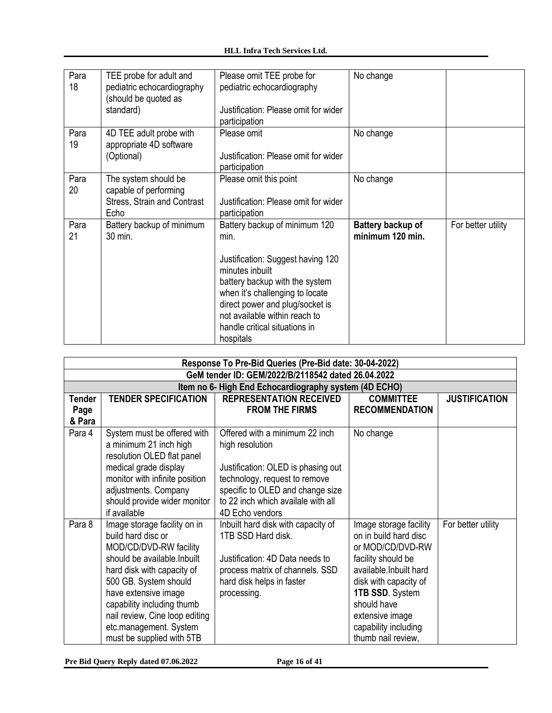| Para | TEE probe for adult and            | Please omit TEE probe for            | No change         |                    |
|------|------------------------------------|--------------------------------------|-------------------|--------------------|
| 18   | pediatric echocardiography         | pediatric echocardiography           |                   |                    |
|      | (should be quoted as               |                                      |                   |                    |
|      | standard)                          | Justification: Please omit for wider |                   |                    |
|      |                                    | participation                        |                   |                    |
| Para | 4D TEE adult probe with            | Please omit                          | No change         |                    |
| 19   | appropriate 4D software            |                                      |                   |                    |
|      | (Optional)                         | Justification: Please omit for wider |                   |                    |
|      |                                    | participation                        |                   |                    |
| Para | The system should be               | Please omit this point               | No change         |                    |
| 20   | capable of performing              |                                      |                   |                    |
|      | <b>Stress, Strain and Contrast</b> | Justification: Please omit for wider |                   |                    |
|      | Echo                               | participation                        |                   |                    |
| Para | Battery backup of minimum          | Battery backup of minimum 120        | Battery backup of | For better utility |
| 21   | 30 min.                            | min.                                 | minimum 120 min.  |                    |
|      |                                    |                                      |                   |                    |
|      |                                    | Justification: Suggest having 120    |                   |                    |
|      |                                    | minutes inbuilt                      |                   |                    |
|      |                                    | battery backup with the system       |                   |                    |
|      |                                    | when it's challenging to locate      |                   |                    |
|      |                                    | direct power and plug/socket is      |                   |                    |
|      |                                    | not available within reach to        |                   |                    |
|      |                                    | handle critical situations in        |                   |                    |
|      |                                    | hospitals                            |                   |                    |

|                                 | Response To Pre-Bid Queries (Pre-Bid date: 30-04-2022)                                                                                                                                                                                                                                                             |                                                                                                                                                                                                                       |                                                                                                                                                                                                                                                   |                      |
|---------------------------------|--------------------------------------------------------------------------------------------------------------------------------------------------------------------------------------------------------------------------------------------------------------------------------------------------------------------|-----------------------------------------------------------------------------------------------------------------------------------------------------------------------------------------------------------------------|---------------------------------------------------------------------------------------------------------------------------------------------------------------------------------------------------------------------------------------------------|----------------------|
|                                 |                                                                                                                                                                                                                                                                                                                    | GeM tender ID: GEM/2022/B/2118542 dated 26.04.2022                                                                                                                                                                    |                                                                                                                                                                                                                                                   |                      |
|                                 |                                                                                                                                                                                                                                                                                                                    | Item no 6- High End Echocardiography system (4D ECHO)                                                                                                                                                                 |                                                                                                                                                                                                                                                   |                      |
| <b>Tender</b><br>Page<br>& Para | <b>TENDER SPECIFICATION</b>                                                                                                                                                                                                                                                                                        | <b>REPRESENTATION RECEIVED</b><br><b>FROM THE FIRMS</b>                                                                                                                                                               | <b>COMMITTEE</b><br><b>RECOMMENDATION</b>                                                                                                                                                                                                         | <b>JUSTIFICATION</b> |
| Para 4                          | System must be offered with<br>a minimum 21 inch high<br>resolution OLED flat panel<br>medical grade display<br>monitor with infinite position<br>adjustments. Company<br>should provide wider monitor<br>if available                                                                                             | Offered with a minimum 22 inch<br>high resolution<br>Justification: OLED is phasing out<br>technology, request to remove<br>specific to OLED and change size<br>to 22 inch which availale with all<br>4D Echo vendors | No change                                                                                                                                                                                                                                         |                      |
| Para 8                          | Image storage facility on in<br>build hard disc or<br>MOD/CD/DVD-RW facility<br>should be available. Inbuilt<br>hard disk with capacity of<br>500 GB. System should<br>have extensive image<br>capability including thumb<br>nail review, Cine loop editing<br>etc.management. System<br>must be supplied with 5TB | Inbuilt hard disk with capacity of<br>1TB SSD Hard disk.<br>Justification: 4D Data needs to<br>process matrix of channels. SSD<br>hard disk helps in faster<br>processing.                                            | Image storage facility<br>on in build hard disc<br>or MOD/CD/DVD-RW<br>facility should be<br>available. In built hard<br>disk with capacity of<br>1TB SSD. System<br>should have<br>extensive image<br>capability including<br>thumb nail review, | For better utility   |

**Pre Bid Query Reply dated 07.06.2022 Page 16 of 41**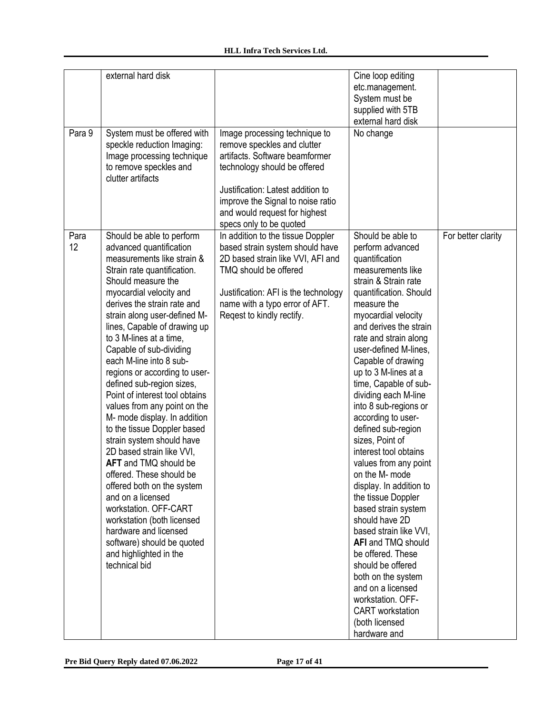|            | external hard disk                                                                                                                                                                                                                                                                                                                                                                                                                                                                                                                                                                                                                                                                                                                                                                                                                                                                  |                                                                                                                                                                                                                                                                      | Cine loop editing<br>etc.management.<br>System must be<br>supplied with 5TB<br>external hard disk                                                                                                                                                                                                                                                                                                                                                                                                                                                                                                                                                                                                                                                                                                                            |                    |
|------------|-------------------------------------------------------------------------------------------------------------------------------------------------------------------------------------------------------------------------------------------------------------------------------------------------------------------------------------------------------------------------------------------------------------------------------------------------------------------------------------------------------------------------------------------------------------------------------------------------------------------------------------------------------------------------------------------------------------------------------------------------------------------------------------------------------------------------------------------------------------------------------------|----------------------------------------------------------------------------------------------------------------------------------------------------------------------------------------------------------------------------------------------------------------------|------------------------------------------------------------------------------------------------------------------------------------------------------------------------------------------------------------------------------------------------------------------------------------------------------------------------------------------------------------------------------------------------------------------------------------------------------------------------------------------------------------------------------------------------------------------------------------------------------------------------------------------------------------------------------------------------------------------------------------------------------------------------------------------------------------------------------|--------------------|
| Para 9     | System must be offered with<br>speckle reduction Imaging:<br>Image processing technique<br>to remove speckles and<br>clutter artifacts                                                                                                                                                                                                                                                                                                                                                                                                                                                                                                                                                                                                                                                                                                                                              | Image processing technique to<br>remove speckles and clutter<br>artifacts. Software beamformer<br>technology should be offered<br>Justification: Latest addition to<br>improve the Signal to noise ratio<br>and would request for highest<br>specs only to be quoted | No change                                                                                                                                                                                                                                                                                                                                                                                                                                                                                                                                                                                                                                                                                                                                                                                                                    |                    |
| Para<br>12 | Should be able to perform<br>advanced quantification<br>measurements like strain &<br>Strain rate quantification.<br>Should measure the<br>myocardial velocity and<br>derives the strain rate and<br>strain along user-defined M-<br>lines, Capable of drawing up<br>to 3 M-lines at a time,<br>Capable of sub-dividing<br>each M-line into 8 sub-<br>regions or according to user-<br>defined sub-region sizes,<br>Point of interest tool obtains<br>values from any point on the<br>M- mode display. In addition<br>to the tissue Doppler based<br>strain system should have<br>2D based strain like VVI,<br><b>AFT</b> and TMQ should be<br>offered. These should be<br>offered both on the system<br>and on a licensed<br>workstation, OFF-CART<br>workstation (both licensed<br>hardware and licensed<br>software) should be quoted<br>and highlighted in the<br>technical bid | In addition to the tissue Doppler<br>based strain system should have<br>2D based strain like VVI, AFI and<br>TMQ should be offered<br>Justification: AFI is the technology<br>name with a typo error of AFT.<br>Regest to kindly rectify.                            | Should be able to<br>perform advanced<br>quantification<br>measurements like<br>strain & Strain rate<br>quantification. Should<br>measure the<br>myocardial velocity<br>and derives the strain<br>rate and strain along<br>user-defined M-lines,<br>Capable of drawing<br>up to 3 M-lines at a<br>time, Capable of sub-<br>dividing each M-line<br>into 8 sub-regions or<br>according to user-<br>defined sub-region<br>sizes, Point of<br>interest tool obtains<br>values from any point<br>on the M- mode<br>display. In addition to<br>the tissue Doppler<br>based strain system<br>should have 2D<br>based strain like VVI,<br>AFI and TMQ should<br>be offered. These<br>should be offered<br>both on the system<br>and on a licensed<br>workstation. OFF-<br><b>CART</b> workstation<br>(both licensed<br>hardware and | For better clarity |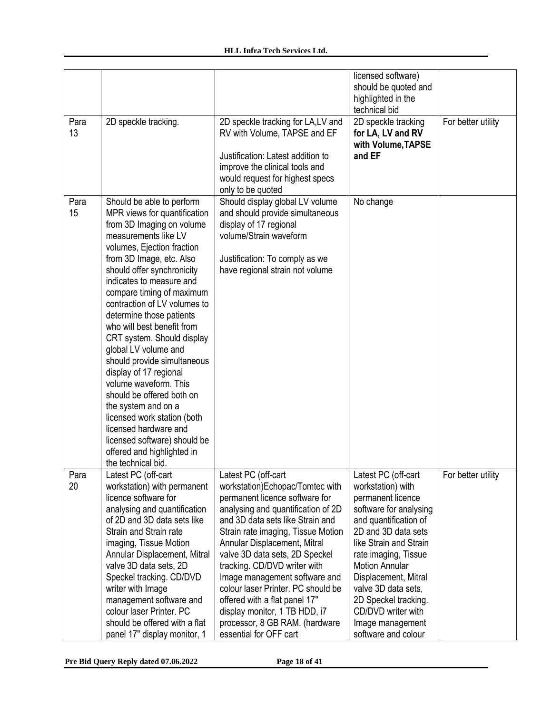|            |                                                                                                                                                                                                                                                                                                                                                                                                                                                                                                                                                                                                                                                                                                   |                                                                                                                                                                                                                                                                                                                                                                                                                                                                                                                 | licensed software)<br>should be quoted and<br>highlighted in the<br>technical bid                                                                                                                                                                                                                                                                          |                    |
|------------|---------------------------------------------------------------------------------------------------------------------------------------------------------------------------------------------------------------------------------------------------------------------------------------------------------------------------------------------------------------------------------------------------------------------------------------------------------------------------------------------------------------------------------------------------------------------------------------------------------------------------------------------------------------------------------------------------|-----------------------------------------------------------------------------------------------------------------------------------------------------------------------------------------------------------------------------------------------------------------------------------------------------------------------------------------------------------------------------------------------------------------------------------------------------------------------------------------------------------------|------------------------------------------------------------------------------------------------------------------------------------------------------------------------------------------------------------------------------------------------------------------------------------------------------------------------------------------------------------|--------------------|
| Para<br>13 | 2D speckle tracking.                                                                                                                                                                                                                                                                                                                                                                                                                                                                                                                                                                                                                                                                              | 2D speckle tracking for LA, LV and<br>RV with Volume, TAPSE and EF<br>Justification: Latest addition to<br>improve the clinical tools and<br>would request for highest specs<br>only to be quoted                                                                                                                                                                                                                                                                                                               | 2D speckle tracking<br>for LA, LV and RV<br>with Volume, TAPSE<br>and EF                                                                                                                                                                                                                                                                                   | For better utility |
| Para<br>15 | Should be able to perform<br>MPR views for quantification<br>from 3D Imaging on volume<br>measurements like LV<br>volumes, Ejection fraction<br>from 3D Image, etc. Also<br>should offer synchronicity<br>indicates to measure and<br>compare timing of maximum<br>contraction of LV volumes to<br>determine those patients<br>who will best benefit from<br>CRT system. Should display<br>global LV volume and<br>should provide simultaneous<br>display of 17 regional<br>volume waveform. This<br>should be offered both on<br>the system and on a<br>licensed work station (both<br>licensed hardware and<br>licensed software) should be<br>offered and highlighted in<br>the technical bid. | Should display global LV volume<br>and should provide simultaneous<br>display of 17 regional<br>volume/Strain waveform<br>Justification: To comply as we<br>have regional strain not volume                                                                                                                                                                                                                                                                                                                     | No change                                                                                                                                                                                                                                                                                                                                                  |                    |
| Para<br>20 | Latest PC (off-cart<br>workstation) with permanent<br>licence software for<br>analysing and quantification<br>of 2D and 3D data sets like<br>Strain and Strain rate<br>imaging, Tissue Motion<br>Annular Displacement, Mitral<br>valve 3D data sets, 2D<br>Speckel tracking. CD/DVD<br>writer with Image<br>management software and<br>colour laser Printer. PC<br>should be offered with a flat<br>panel 17" display monitor, 1                                                                                                                                                                                                                                                                  | Latest PC (off-cart<br>workstation)Echopac/Tomtec with<br>permanent licence software for<br>analysing and quantification of 2D<br>and 3D data sets like Strain and<br>Strain rate imaging, Tissue Motion<br>Annular Displacement, Mitral<br>valve 3D data sets, 2D Speckel<br>tracking. CD/DVD writer with<br>Image management software and<br>colour laser Printer. PC should be<br>offered with a flat panel 17"<br>display monitor, 1 TB HDD, i7<br>processor, 8 GB RAM. (hardware<br>essential for OFF cart | Latest PC (off-cart<br>workstation) with<br>permanent licence<br>software for analysing<br>and quantification of<br>2D and 3D data sets<br>like Strain and Strain<br>rate imaging, Tissue<br><b>Motion Annular</b><br>Displacement, Mitral<br>valve 3D data sets,<br>2D Speckel tracking.<br>CD/DVD writer with<br>Image management<br>software and colour | For better utility |

**Pre Bid Query Reply dated 07.06.2022 Page 18 of 41**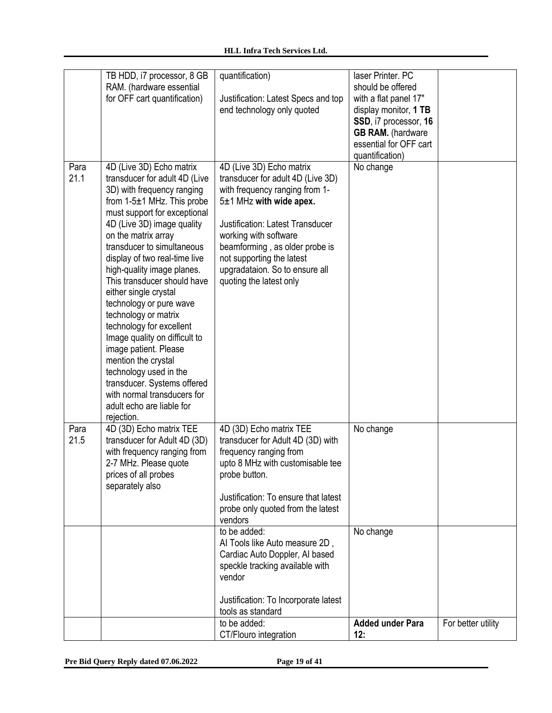|              | TB HDD, i7 processor, 8 GB<br>RAM. (hardware essential<br>for OFF cart quantification)                                                                                                                                                                                                                                                                                                                                                                                                                                                                                                                                                                                 | quantification)<br>Justification: Latest Specs and top<br>end technology only quoted                                                                                                                                                                                                                                                                                                                                              | laser Printer. PC<br>should be offered<br>with a flat panel 17"<br>display monitor, 1 TB<br>SSD, i7 processor, 16<br><b>GB RAM.</b> (hardware<br>essential for OFF cart<br>quantification) |                    |
|--------------|------------------------------------------------------------------------------------------------------------------------------------------------------------------------------------------------------------------------------------------------------------------------------------------------------------------------------------------------------------------------------------------------------------------------------------------------------------------------------------------------------------------------------------------------------------------------------------------------------------------------------------------------------------------------|-----------------------------------------------------------------------------------------------------------------------------------------------------------------------------------------------------------------------------------------------------------------------------------------------------------------------------------------------------------------------------------------------------------------------------------|--------------------------------------------------------------------------------------------------------------------------------------------------------------------------------------------|--------------------|
| Para<br>21.1 | 4D (Live 3D) Echo matrix<br>transducer for adult 4D (Live<br>3D) with frequency ranging<br>from $1-5\pm1$ MHz. This probe<br>must support for exceptional<br>4D (Live 3D) image quality<br>on the matrix array<br>transducer to simultaneous<br>display of two real-time live<br>high-quality image planes.<br>This transducer should have<br>either single crystal<br>technology or pure wave<br>technology or matrix<br>technology for excellent<br>Image quality on difficult to<br>image patient. Please<br>mention the crystal<br>technology used in the<br>transducer. Systems offered<br>with normal transducers for<br>adult echo are liable for<br>rejection. | 4D (Live 3D) Echo matrix<br>transducer for adult 4D (Live 3D)<br>with frequency ranging from 1-<br>$5±1$ MHz with wide apex.<br><b>Justification: Latest Transducer</b><br>working with software<br>beamforming, as older probe is<br>not supporting the latest<br>upgradataion. So to ensure all<br>quoting the latest only                                                                                                      | No change                                                                                                                                                                                  |                    |
| Para<br>21.5 | 4D (3D) Echo matrix TEE<br>transducer for Adult 4D (3D)<br>with frequency ranging from<br>2-7 MHz. Please quote<br>prices of all probes<br>separately also                                                                                                                                                                                                                                                                                                                                                                                                                                                                                                             | 4D (3D) Echo matrix TEE<br>transducer for Adult 4D (3D) with<br>frequency ranging from<br>upto 8 MHz with customisable tee<br>probe button.<br>Justification: To ensure that latest<br>probe only quoted from the latest<br>vendors<br>to be added:<br>Al Tools like Auto measure 2D,<br>Cardiac Auto Doppler, Al based<br>speckle tracking available with<br>vendor<br>Justification: To Incorporate latest<br>tools as standard | No change<br>No change                                                                                                                                                                     |                    |
|              |                                                                                                                                                                                                                                                                                                                                                                                                                                                                                                                                                                                                                                                                        | to be added:<br>CT/Flouro integration                                                                                                                                                                                                                                                                                                                                                                                             | <b>Added under Para</b><br>12:                                                                                                                                                             | For better utility |

**Pre Bid Query Reply dated 07.06.2022 Page 19 of 41**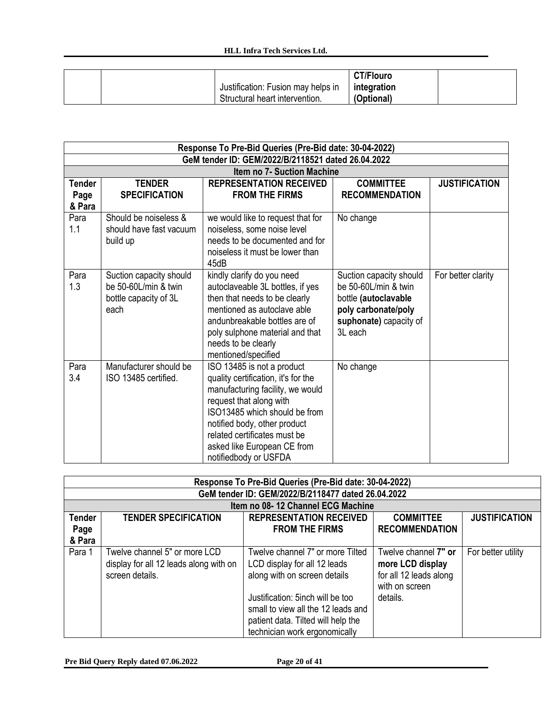|  |                                    | <b>CT/Flouro</b> |  |
|--|------------------------------------|------------------|--|
|  | Justification: Fusion may helps in | integration      |  |
|  | Structural heart intervention.     | (Optional)       |  |

|                                 | Response To Pre-Bid Queries (Pre-Bid date: 30-04-2022)                           |                                                                                                                                                                                                                                                                                           |                                                                                                                                     |                      |
|---------------------------------|----------------------------------------------------------------------------------|-------------------------------------------------------------------------------------------------------------------------------------------------------------------------------------------------------------------------------------------------------------------------------------------|-------------------------------------------------------------------------------------------------------------------------------------|----------------------|
|                                 |                                                                                  | GeM tender ID: GEM/2022/B/2118521 dated 26.04.2022                                                                                                                                                                                                                                        |                                                                                                                                     |                      |
|                                 |                                                                                  | <b>Item no 7- Suction Machine</b>                                                                                                                                                                                                                                                         |                                                                                                                                     |                      |
| <b>Tender</b><br>Page<br>& Para | <b>TENDER</b><br><b>SPECIFICATION</b>                                            | <b>REPRESENTATION RECEIVED</b><br><b>FROM THE FIRMS</b>                                                                                                                                                                                                                                   | <b>COMMITTEE</b><br><b>RECOMMENDATION</b>                                                                                           | <b>JUSTIFICATION</b> |
| Para<br>1.1                     | Should be noiseless &<br>should have fast vacuum<br>build up                     | we would like to request that for<br>noiseless, some noise level<br>needs to be documented and for<br>noiseless it must be lower than<br>45dB                                                                                                                                             | No change                                                                                                                           |                      |
| Para<br>1.3                     | Suction capacity should<br>be 50-60L/min & twin<br>bottle capacity of 3L<br>each | kindly clarify do you need<br>autoclaveable 3L bottles, if yes<br>then that needs to be clearly<br>mentioned as autoclave able<br>andunbreakable bottles are of<br>poly sulphone material and that<br>needs to be clearly<br>mentioned/specified                                          | Suction capacity should<br>be 50-60L/min & twin<br>bottle (autoclavable<br>poly carbonate/poly<br>suphonate) capacity of<br>3L each | For better clarity   |
| Para<br>3.4                     | Manufacturer should be<br>ISO 13485 certified.                                   | ISO 13485 is not a product<br>quality certification, it's for the<br>manufacturing facility, we would<br>request that along with<br>ISO13485 which should be from<br>notified body, other product<br>related certificates must be<br>asked like European CE from<br>notifiedbody or USFDA | No change                                                                                                                           |                      |

|               | Response To Pre-Bid Queries (Pre-Bid date: 30-04-2022)                                     |                                                                                                                                               |                                                                                      |                      |
|---------------|--------------------------------------------------------------------------------------------|-----------------------------------------------------------------------------------------------------------------------------------------------|--------------------------------------------------------------------------------------|----------------------|
|               |                                                                                            | GeM tender ID: GEM/2022/B/2118477 dated 26.04.2022                                                                                            |                                                                                      |                      |
|               |                                                                                            | Item no 08-12 Channel ECG Machine                                                                                                             |                                                                                      |                      |
| <b>Tender</b> | <b>TENDER SPECIFICATION</b>                                                                | <b>REPRESENTATION RECEIVED</b>                                                                                                                | <b>COMMITTEE</b>                                                                     | <b>JUSTIFICATION</b> |
| Page          |                                                                                            | <b>FROM THE FIRMS</b>                                                                                                                         | <b>RECOMMENDATION</b>                                                                |                      |
| & Para        |                                                                                            |                                                                                                                                               |                                                                                      |                      |
| Para 1        | Twelve channel 5" or more LCD<br>display for all 12 leads along with on<br>screen details. | Twelve channel 7" or more Tilted<br>LCD display for all 12 leads<br>along with on screen details                                              | Twelve channel 7" or<br>more LCD display<br>for all 12 leads along<br>with on screen | For better utility   |
|               |                                                                                            | Justification: 5inch will be too<br>small to view all the 12 leads and<br>patient data. Tilted will help the<br>technician work ergonomically | details.                                                                             |                      |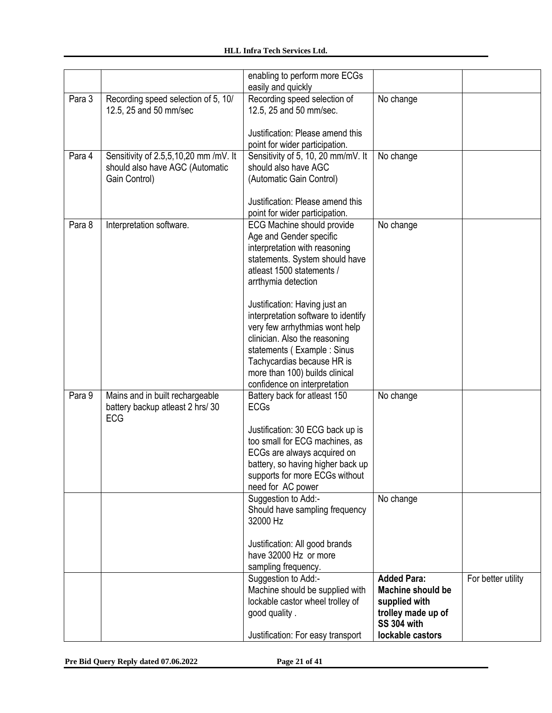|        |                                                                                           | enabling to perform more ECGs<br>easily and quickly                                                                                                                                                                                                                   |                                                                                                             |                    |
|--------|-------------------------------------------------------------------------------------------|-----------------------------------------------------------------------------------------------------------------------------------------------------------------------------------------------------------------------------------------------------------------------|-------------------------------------------------------------------------------------------------------------|--------------------|
| Para 3 | Recording speed selection of 5, 10/<br>12.5, 25 and 50 mm/sec                             | Recording speed selection of<br>12.5, 25 and 50 mm/sec.                                                                                                                                                                                                               | No change                                                                                                   |                    |
|        |                                                                                           | Justification: Please amend this<br>point for wider participation.                                                                                                                                                                                                    |                                                                                                             |                    |
| Para 4 | Sensitivity of 2.5,5,10,20 mm /mV. It<br>should also have AGC (Automatic<br>Gain Control) | Sensitivity of 5, 10, 20 mm/mV. It<br>should also have AGC<br>(Automatic Gain Control)                                                                                                                                                                                | No change                                                                                                   |                    |
|        |                                                                                           | Justification: Please amend this<br>point for wider participation.                                                                                                                                                                                                    |                                                                                                             |                    |
| Para 8 | Interpretation software.                                                                  | <b>ECG Machine should provide</b><br>Age and Gender specific<br>interpretation with reasoning<br>statements. System should have<br>atleast 1500 statements /<br>arrthymia detection                                                                                   | No change                                                                                                   |                    |
|        |                                                                                           | Justification: Having just an<br>interpretation software to identify<br>very few arrhythmias wont help<br>clinician. Also the reasoning<br>statements (Example: Sinus<br>Tachycardias because HR is<br>more than 100) builds clinical<br>confidence on interpretation |                                                                                                             |                    |
| Para 9 | Mains and in built rechargeable<br>battery backup atleast 2 hrs/30<br>ECG                 | Battery back for atleast 150<br><b>ECGs</b>                                                                                                                                                                                                                           | No change                                                                                                   |                    |
|        |                                                                                           | Justification: 30 ECG back up is<br>too small for ECG machines, as<br>ECGs are always acquired on<br>battery, so having higher back up<br>supports for more ECGs without<br>need for AC power                                                                         |                                                                                                             |                    |
|        |                                                                                           | Suggestion to Add:-<br>Should have sampling frequency<br>32000 Hz                                                                                                                                                                                                     | No change                                                                                                   |                    |
|        |                                                                                           | Justification: All good brands<br>have 32000 Hz or more<br>sampling frequency.                                                                                                                                                                                        |                                                                                                             |                    |
|        |                                                                                           | Suggestion to Add:-<br>Machine should be supplied with<br>lockable castor wheel trolley of<br>good quality.                                                                                                                                                           | <b>Added Para:</b><br><b>Machine should be</b><br>supplied with<br>trolley made up of<br><b>SS 304 with</b> | For better utility |
|        |                                                                                           | Justification: For easy transport                                                                                                                                                                                                                                     | lockable castors                                                                                            |                    |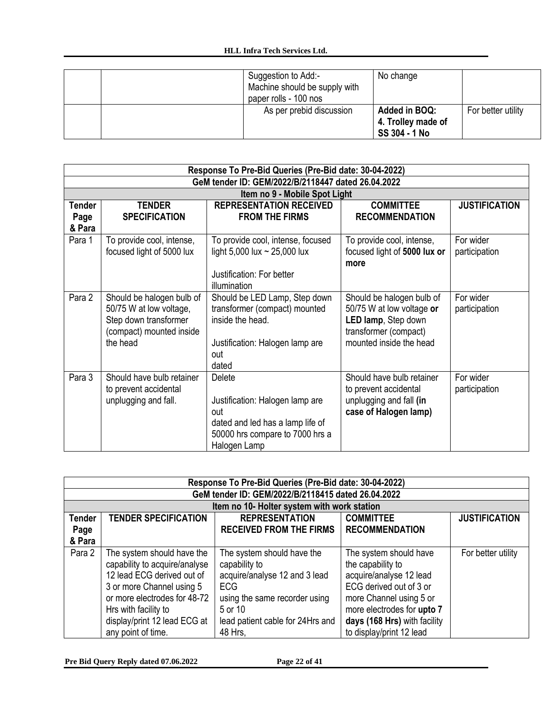|  | Suggestion to Add:-<br>Machine should be supply with<br>paper rolls - 100 nos | No change                                            |                    |
|--|-------------------------------------------------------------------------------|------------------------------------------------------|--------------------|
|  | As per prebid discussion                                                      | Added in BOQ:<br>4. Trolley made of<br>SS 304 - 1 No | For better utility |

|                                 | Response To Pre-Bid Queries (Pre-Bid date: 30-04-2022)                                                                |                                                                                                                                         |                                                                                                                                   |                            |
|---------------------------------|-----------------------------------------------------------------------------------------------------------------------|-----------------------------------------------------------------------------------------------------------------------------------------|-----------------------------------------------------------------------------------------------------------------------------------|----------------------------|
|                                 |                                                                                                                       | GeM tender ID: GEM/2022/B/2118447 dated 26.04.2022                                                                                      |                                                                                                                                   |                            |
|                                 |                                                                                                                       | Item no 9 - Mobile Spot Light                                                                                                           |                                                                                                                                   |                            |
| <b>Tender</b><br>Page<br>& Para | <b>TENDER</b><br><b>SPECIFICATION</b>                                                                                 | <b>REPRESENTATION RECEIVED</b><br><b>FROM THE FIRMS</b>                                                                                 | <b>COMMITTEE</b><br><b>RECOMMENDATION</b>                                                                                         | <b>JUSTIFICATION</b>       |
| Para 1                          | To provide cool, intense,<br>focused light of 5000 lux                                                                | To provide cool, intense, focused<br>light 5,000 lux $\sim$ 25,000 lux<br>Justification: For better<br>illumination                     | To provide cool, intense,<br>focused light of 5000 lux or<br>more                                                                 | For wider<br>participation |
| Para 2                          | Should be halogen bulb of<br>50/75 W at low voltage,<br>Step down transformer<br>(compact) mounted inside<br>the head | Should be LED Lamp, Step down<br>transformer (compact) mounted<br>inside the head.<br>Justification: Halogen lamp are<br>out<br>dated   | Should be halogen bulb of<br>50/75 W at low voltage or<br>LED lamp, Step down<br>transformer (compact)<br>mounted inside the head | For wider<br>participation |
| Para 3                          | Should have bulb retainer<br>to prevent accidental<br>unplugging and fall.                                            | Delete<br>Justification: Halogen lamp are<br>out<br>dated and led has a lamp life of<br>50000 hrs compare to 7000 hrs a<br>Halogen Lamp | Should have bulb retainer<br>to prevent accidental<br>unplugging and fall (in<br>case of Halogen lamp)                            | For wider<br>participation |

|               | Response To Pre-Bid Queries (Pre-Bid date: 30-04-2022) |                                                    |                              |                      |
|---------------|--------------------------------------------------------|----------------------------------------------------|------------------------------|----------------------|
|               |                                                        | GeM tender ID: GEM/2022/B/2118415 dated 26.04.2022 |                              |                      |
|               |                                                        | Item no 10- Holter system with work station        |                              |                      |
| <b>Tender</b> | <b>TENDER SPECIFICATION</b>                            | <b>REPRESENTATION</b>                              | <b>COMMITTEE</b>             | <b>JUSTIFICATION</b> |
| Page          |                                                        | <b>RECEIVED FROM THE FIRMS</b>                     | <b>RECOMMENDATION</b>        |                      |
| & Para        |                                                        |                                                    |                              |                      |
| Para 2        | The system should have the                             | The system should have the                         | The system should have       | For better utility   |
|               | capability to acquire/analyse                          | capability to                                      | the capability to            |                      |
|               | 12 lead ECG derived out of                             | acquire/analyse 12 and 3 lead                      | acquire/analyse 12 lead      |                      |
|               | 3 or more Channel using 5                              | <b>ECG</b>                                         | ECG derived out of 3 or      |                      |
|               | or more electrodes for 48-72                           | using the same recorder using                      | more Channel using 5 or      |                      |
|               | Hrs with facility to                                   | 5 or 10                                            | more electrodes for upto 7   |                      |
|               | display/print 12 lead ECG at                           | lead patient cable for 24Hrs and                   | days (168 Hrs) with facility |                      |
|               | any point of time.                                     | 48 Hrs,                                            | to display/print 12 lead     |                      |

**Pre Bid Query Reply dated 07.06.2022 Page 22 of 41**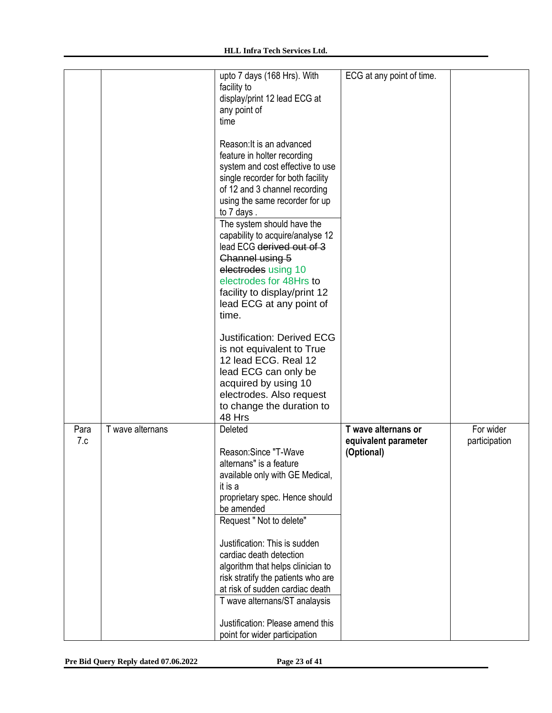|             |                  | upto 7 days (168 Hrs). With<br>facility to                                                                                                                                                                                                                                                                                                                                                                                                                  | ECG at any point of time.                                 |                            |
|-------------|------------------|-------------------------------------------------------------------------------------------------------------------------------------------------------------------------------------------------------------------------------------------------------------------------------------------------------------------------------------------------------------------------------------------------------------------------------------------------------------|-----------------------------------------------------------|----------------------------|
|             |                  | display/print 12 lead ECG at<br>any point of<br>time                                                                                                                                                                                                                                                                                                                                                                                                        |                                                           |                            |
|             |                  | Reason: It is an advanced<br>feature in holter recording<br>system and cost effective to use<br>single recorder for both facility<br>of 12 and 3 channel recording<br>using the same recorder for up<br>to 7 days.<br>The system should have the<br>capability to acquire/analyse 12<br>lead ECG derived out of 3<br>Channel using 5<br>electrodes using 10<br>electrodes for 48Hrs to<br>facility to display/print 12<br>lead ECG at any point of<br>time. |                                                           |                            |
|             |                  | <b>Justification: Derived ECG</b><br>is not equivalent to True<br>12 lead ECG. Real 12<br>lead ECG can only be<br>acquired by using 10<br>electrodes. Also request<br>to change the duration to<br>48 Hrs                                                                                                                                                                                                                                                   |                                                           |                            |
| Para<br>7.c | T wave alternans | Deleted<br>Reason:Since "T-Wave<br>alternans" is a feature<br>available only with GE Medical,<br>it is a<br>proprietary spec. Hence should<br>be amended<br>Request " Not to delete"<br>Justification: This is sudden<br>cardiac death detection<br>algorithm that helps clinician to<br>risk stratify the patients who are<br>at risk of sudden cardiac death<br>T wave alternans/ST analaysis<br>Justification: Please amend this                         | T wave alternans or<br>equivalent parameter<br>(Optional) | For wider<br>participation |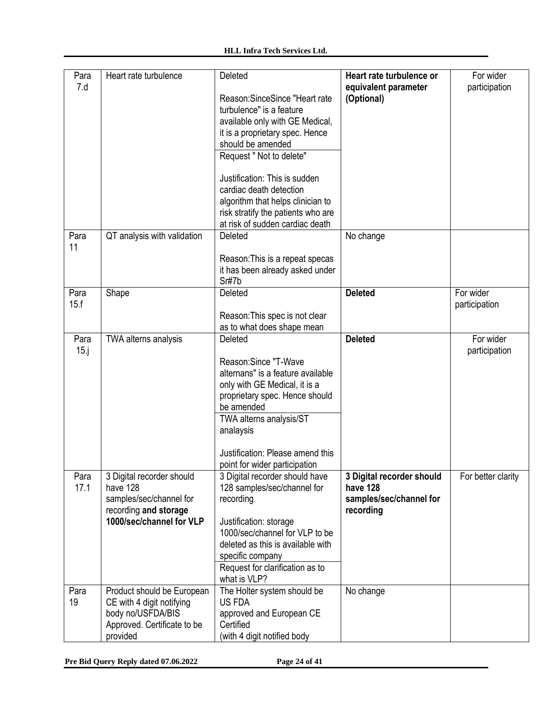| Para<br>7.d     | Heart rate turbulence                                                                                                   | Deleted<br>Reason: Since Since "Heart rate<br>turbulence" is a feature<br>available only with GE Medical,<br>it is a proprietary spec. Hence<br>should be amended<br>Request " Not to delete"<br>Justification: This is sudden<br>cardiac death detection<br>algorithm that helps clinician to<br>risk stratify the patients who are<br>at risk of sudden cardiac death | Heart rate turbulence or<br>equivalent parameter<br>(Optional)                | For wider<br>participation |
|-----------------|-------------------------------------------------------------------------------------------------------------------------|-------------------------------------------------------------------------------------------------------------------------------------------------------------------------------------------------------------------------------------------------------------------------------------------------------------------------------------------------------------------------|-------------------------------------------------------------------------------|----------------------------|
| Para<br>11      | QT analysis with validation                                                                                             | Deleted<br>Reason: This is a repeat specas<br>it has been already asked under<br>Sr#7b                                                                                                                                                                                                                                                                                  | No change                                                                     |                            |
| Para<br>15.f    | Shape                                                                                                                   | Deleted<br>Reason: This spec is not clear<br>as to what does shape mean                                                                                                                                                                                                                                                                                                 | <b>Deleted</b>                                                                | For wider<br>participation |
| Para<br>$15$ .j | TWA alterns analysis                                                                                                    | Deleted<br>Reason:Since "T-Wave<br>alternans" is a feature available<br>only with GE Medical, it is a<br>proprietary spec. Hence should<br>be amended<br>TWA alterns analysis/ST<br>analaysis<br>Justification: Please amend this<br>point for wider participation                                                                                                      | <b>Deleted</b>                                                                | For wider<br>participation |
| Para<br>17.1    | 3 Digital recorder should<br>have 128<br>samples/sec/channel for<br>recording and storage<br>1000/sec/channel for VLP   | 3 Digital recorder should have<br>128 samples/sec/channel for<br>recording<br>Justification: storage<br>1000/sec/channel for VLP to be<br>deleted as this is available with<br>specific company<br>Request for clarification as to<br>what is VLP?                                                                                                                      | 3 Digital recorder should<br>have 128<br>samples/sec/channel for<br>recording | For better clarity         |
| Para<br>19      | Product should be European<br>CE with 4 digit notifying<br>body no/USFDA/BIS<br>Approved. Certificate to be<br>provided | The Holter system should be<br><b>US FDA</b><br>approved and European CE<br>Certified<br>(with 4 digit notified body                                                                                                                                                                                                                                                    | No change                                                                     |                            |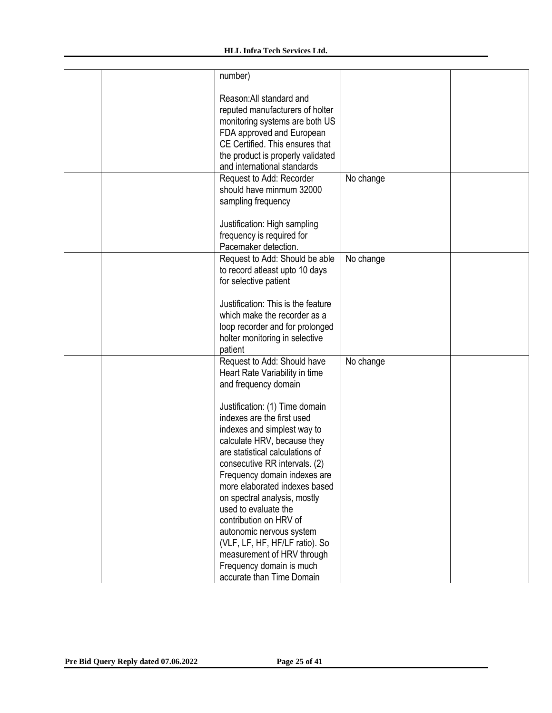#### **HLL Infra Tech Services Ltd.**

| number)                                                                                                                                                                                                                                                                                                                                                                                                                                                                                                                                                            |                                                                                |  |
|--------------------------------------------------------------------------------------------------------------------------------------------------------------------------------------------------------------------------------------------------------------------------------------------------------------------------------------------------------------------------------------------------------------------------------------------------------------------------------------------------------------------------------------------------------------------|--------------------------------------------------------------------------------|--|
| Reason: All standard and<br>reputed manufacturers of holter<br>monitoring systems are both US<br>FDA approved and European<br>CE Certified. This ensures that<br>the product is properly validated<br>and international standards                                                                                                                                                                                                                                                                                                                                  |                                                                                |  |
| Request to Add: Recorder<br>should have minmum 32000<br>sampling frequency<br>Justification: High sampling                                                                                                                                                                                                                                                                                                                                                                                                                                                         | No change                                                                      |  |
|                                                                                                                                                                                                                                                                                                                                                                                                                                                                                                                                                                    |                                                                                |  |
| Request to Add: Should be able<br>to record atleast upto 10 days<br>for selective patient                                                                                                                                                                                                                                                                                                                                                                                                                                                                          | No change                                                                      |  |
| Justification: This is the feature<br>which make the recorder as a<br>loop recorder and for prolonged<br>holter monitoring in selective<br>patient                                                                                                                                                                                                                                                                                                                                                                                                                 |                                                                                |  |
| Request to Add: Should have<br>Heart Rate Variability in time<br>and frequency domain<br>Justification: (1) Time domain<br>indexes are the first used<br>indexes and simplest way to<br>calculate HRV, because they<br>are statistical calculations of<br>consecutive RR intervals. (2)<br>Frequency domain indexes are<br>more elaborated indexes based<br>on spectral analysis, mostly<br>used to evaluate the<br>contribution on HRV of<br>autonomic nervous system<br>(VLF, LF, HF, HF/LF ratio). So<br>measurement of HRV through<br>Frequency domain is much | No change                                                                      |  |
|                                                                                                                                                                                                                                                                                                                                                                                                                                                                                                                                                                    | frequency is required for<br>Pacemaker detection.<br>accurate than Time Domain |  |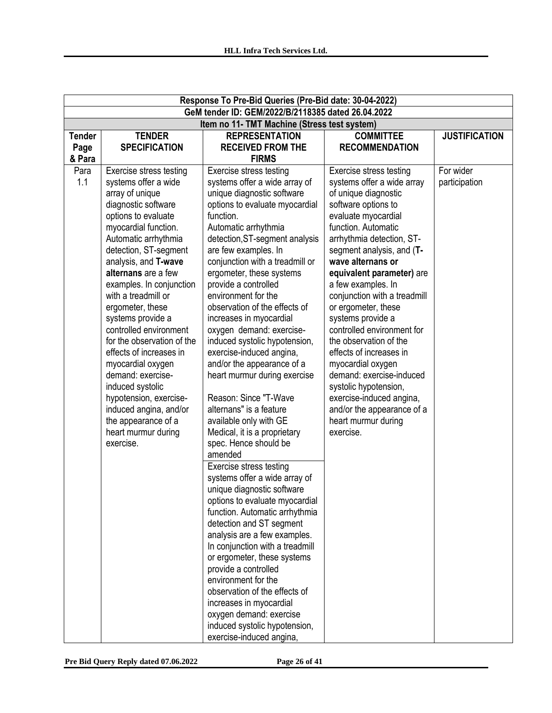|               | Response To Pre-Bid Queries (Pre-Bid date: 30-04-2022) |                                                       |                                  |                      |  |
|---------------|--------------------------------------------------------|-------------------------------------------------------|----------------------------------|----------------------|--|
|               |                                                        | GeM tender ID: GEM/2022/B/2118385 dated 26.04.2022    |                                  |                      |  |
|               |                                                        | Item no 11- TMT Machine (Stress test system)          |                                  |                      |  |
| <b>Tender</b> | <b>TENDER</b>                                          | <b>REPRESENTATION</b>                                 | <b>COMMITTEE</b>                 | <b>JUSTIFICATION</b> |  |
| Page          | <b>SPECIFICATION</b>                                   | <b>RECEIVED FROM THE</b>                              | <b>RECOMMENDATION</b>            |                      |  |
| & Para        |                                                        | <b>FIRMS</b>                                          |                                  |                      |  |
| Para          | Exercise stress testing                                | Exercise stress testing                               | <b>Exercise stress testing</b>   | For wider            |  |
| 1.1           | systems offer a wide                                   | systems offer a wide array of                         | systems offer a wide array       | participation        |  |
|               | array of unique                                        | unique diagnostic software                            | of unique diagnostic             |                      |  |
|               | diagnostic software                                    | options to evaluate myocardial                        | software options to              |                      |  |
|               | options to evaluate                                    | function.                                             | evaluate myocardial              |                      |  |
|               | myocardial function.                                   | Automatic arrhythmia                                  | function. Automatic              |                      |  |
|               | Automatic arrhythmia                                   | detection, ST-segment analysis                        | arrhythmia detection, ST-        |                      |  |
|               | detection, ST-segment                                  | are few examples. In                                  | segment analysis, and (T-        |                      |  |
|               | analysis, and T-wave                                   | conjunction with a treadmill or                       | wave alternans or                |                      |  |
|               | alternans are a few                                    | ergometer, these systems                              | equivalent parameter) are        |                      |  |
|               | examples. In conjunction                               | provide a controlled                                  | a few examples. In               |                      |  |
|               | with a treadmill or                                    | environment for the                                   | conjunction with a treadmill     |                      |  |
|               | ergometer, these                                       | observation of the effects of                         | or ergometer, these              |                      |  |
|               | systems provide a                                      | increases in myocardial                               | systems provide a                |                      |  |
|               | controlled environment                                 | oxygen demand: exercise-                              | controlled environment for       |                      |  |
|               | for the observation of the                             | induced systolic hypotension,                         | the observation of the           |                      |  |
|               | effects of increases in                                | exercise-induced angina,                              | effects of increases in          |                      |  |
|               | myocardial oxygen                                      | and/or the appearance of a                            | myocardial oxygen                |                      |  |
|               | demand: exercise-                                      | heart murmur during exercise                          | demand: exercise-induced         |                      |  |
|               | induced systolic                                       |                                                       | systolic hypotension,            |                      |  |
|               | hypotension, exercise-                                 | Reason: Since "T-Wave                                 | exercise-induced angina,         |                      |  |
|               | induced angina, and/or                                 | alternans" is a feature                               | and/or the appearance of a       |                      |  |
|               | the appearance of a                                    | available only with GE                                | heart murmur during<br>exercise. |                      |  |
|               | heart murmur during<br>exercise.                       | Medical, it is a proprietary<br>spec. Hence should be |                                  |                      |  |
|               |                                                        | amended                                               |                                  |                      |  |
|               |                                                        | <b>Exercise stress testing</b>                        |                                  |                      |  |
|               |                                                        | systems offer a wide array of                         |                                  |                      |  |
|               |                                                        | unique diagnostic software                            |                                  |                      |  |
|               |                                                        | options to evaluate myocardial                        |                                  |                      |  |
|               |                                                        | function. Automatic arrhythmia                        |                                  |                      |  |
|               |                                                        | detection and ST segment                              |                                  |                      |  |
|               |                                                        | analysis are a few examples.                          |                                  |                      |  |
|               |                                                        | In conjunction with a treadmill                       |                                  |                      |  |
|               |                                                        | or ergometer, these systems                           |                                  |                      |  |
|               |                                                        | provide a controlled                                  |                                  |                      |  |
|               |                                                        | environment for the                                   |                                  |                      |  |
|               |                                                        | observation of the effects of                         |                                  |                      |  |
|               |                                                        | increases in myocardial                               |                                  |                      |  |
|               |                                                        | oxygen demand: exercise                               |                                  |                      |  |
|               |                                                        | induced systolic hypotension,                         |                                  |                      |  |
|               |                                                        | exercise-induced angina,                              |                                  |                      |  |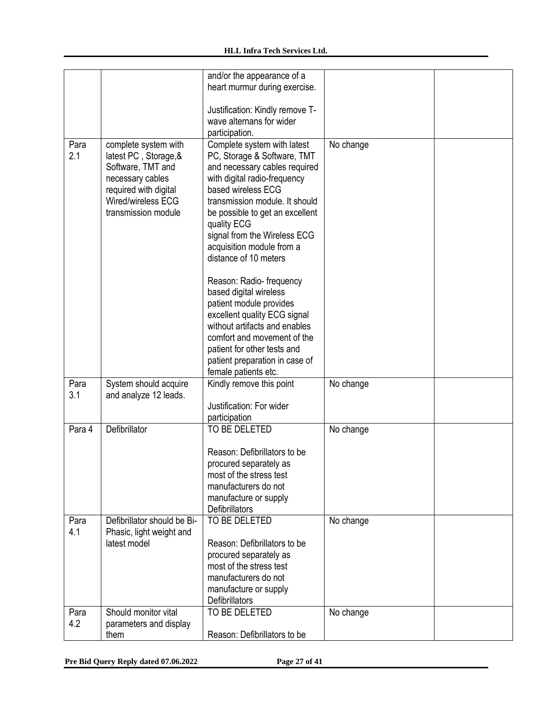|        |                             | and/or the appearance of a      |           |  |
|--------|-----------------------------|---------------------------------|-----------|--|
|        |                             | heart murmur during exercise.   |           |  |
|        |                             |                                 |           |  |
|        |                             | Justification: Kindly remove T- |           |  |
|        |                             | wave alternans for wider        |           |  |
|        |                             |                                 |           |  |
|        |                             | participation.                  |           |  |
| Para   | complete system with        | Complete system with latest     | No change |  |
| 2.1    | latest PC, Storage, &       | PC, Storage & Software, TMT     |           |  |
|        | Software, TMT and           | and necessary cables required   |           |  |
|        | necessary cables            | with digital radio-frequency    |           |  |
|        | required with digital       | based wireless ECG              |           |  |
|        | Wired/wireless ECG          | transmission module. It should  |           |  |
|        |                             |                                 |           |  |
|        | transmission module         | be possible to get an excellent |           |  |
|        |                             | quality ECG                     |           |  |
|        |                             | signal from the Wireless ECG    |           |  |
|        |                             | acquisition module from a       |           |  |
|        |                             | distance of 10 meters           |           |  |
|        |                             |                                 |           |  |
|        |                             | Reason: Radio- frequency        |           |  |
|        |                             | based digital wireless          |           |  |
|        |                             | patient module provides         |           |  |
|        |                             | excellent quality ECG signal    |           |  |
|        |                             | without artifacts and enables   |           |  |
|        |                             |                                 |           |  |
|        |                             | comfort and movement of the     |           |  |
|        |                             | patient for other tests and     |           |  |
|        |                             | patient preparation in case of  |           |  |
|        |                             | female patients etc.            |           |  |
| Para   | System should acquire       | Kindly remove this point        | No change |  |
| 3.1    | and analyze 12 leads.       |                                 |           |  |
|        |                             | Justification: For wider        |           |  |
|        |                             | participation                   |           |  |
| Para 4 | Defibrillator               | TO BE DELETED                   | No change |  |
|        |                             |                                 |           |  |
|        |                             | Reason: Defibrillators to be    |           |  |
|        |                             |                                 |           |  |
|        |                             | procured separately as          |           |  |
|        |                             | most of the stress test         |           |  |
|        |                             | manufacturers do not            |           |  |
|        |                             | manufacture or supply           |           |  |
|        |                             | Defibrillators                  |           |  |
| Para   | Defibrillator should be Bi- | TO BE DELETED                   | No change |  |
| 4.1    | Phasic, light weight and    |                                 |           |  |
|        | latest model                | Reason: Defibrillators to be    |           |  |
|        |                             | procured separately as          |           |  |
|        |                             | most of the stress test         |           |  |
|        |                             |                                 |           |  |
|        |                             | manufacturers do not            |           |  |
|        |                             | manufacture or supply           |           |  |
|        |                             | Defibrillators                  |           |  |
| Para   | Should monitor vital        | TO BE DELETED                   | No change |  |
| 4.2    | parameters and display      |                                 |           |  |
|        |                             |                                 |           |  |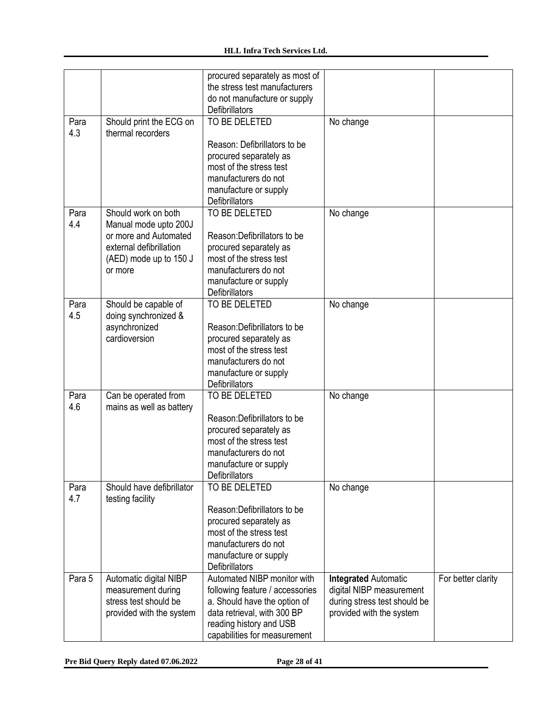|             |                                               | procured separately as most of  |                              |                    |
|-------------|-----------------------------------------------|---------------------------------|------------------------------|--------------------|
|             |                                               | the stress test manufacturers   |                              |                    |
|             |                                               | do not manufacture or supply    |                              |                    |
|             |                                               | <b>Defibrillators</b>           |                              |                    |
| Para        | Should print the ECG on                       | TO BE DELETED                   | No change                    |                    |
| 4.3         | thermal recorders                             |                                 |                              |                    |
|             |                                               | Reason: Defibrillators to be    |                              |                    |
|             |                                               | procured separately as          |                              |                    |
|             |                                               | most of the stress test         |                              |                    |
|             |                                               | manufacturers do not            |                              |                    |
|             |                                               | manufacture or supply           |                              |                    |
|             |                                               | Defibrillators                  |                              |                    |
| Para        | Should work on both                           | TO BE DELETED                   | No change                    |                    |
| 4.4         | Manual mode upto 200J                         |                                 |                              |                    |
|             | or more and Automated                         | Reason: Defibrillators to be    |                              |                    |
|             | external defibrillation                       | procured separately as          |                              |                    |
|             | (AED) mode up to 150 J                        | most of the stress test         |                              |                    |
|             | or more                                       | manufacturers do not            |                              |                    |
|             |                                               | manufacture or supply           |                              |                    |
|             |                                               | Defibrillators                  |                              |                    |
| Para        | Should be capable of                          | TO BE DELETED                   | No change                    |                    |
| 4.5         | doing synchronized &                          |                                 |                              |                    |
|             | asynchronized                                 | Reason: Defibrillators to be    |                              |                    |
|             | cardioversion                                 | procured separately as          |                              |                    |
|             |                                               | most of the stress test         |                              |                    |
|             |                                               | manufacturers do not            |                              |                    |
|             |                                               | manufacture or supply           |                              |                    |
|             |                                               | Defibrillators                  |                              |                    |
| Para        | Can be operated from                          | TO BE DELETED                   | No change                    |                    |
| 4.6         | mains as well as battery                      |                                 |                              |                    |
|             |                                               | Reason: Defibrillators to be    |                              |                    |
|             |                                               | procured separately as          |                              |                    |
|             |                                               | most of the stress test         |                              |                    |
|             |                                               | manufacturers do not            |                              |                    |
|             |                                               | manufacture or supply           |                              |                    |
|             |                                               | <b>Defibrillators</b>           |                              |                    |
| Para<br>4.7 | Should have defibrillator<br>testing facility | TO BE DELETED                   | No change                    |                    |
|             |                                               | Reason: Defibrillators to be    |                              |                    |
|             |                                               | procured separately as          |                              |                    |
|             |                                               | most of the stress test         |                              |                    |
|             |                                               | manufacturers do not            |                              |                    |
|             |                                               | manufacture or supply           |                              |                    |
|             |                                               | <b>Defibrillators</b>           |                              |                    |
| Para 5      | Automatic digital NIBP                        | Automated NIBP monitor with     | <b>Integrated Automatic</b>  | For better clarity |
|             | measurement during                            | following feature / accessories | digital NIBP measurement     |                    |
|             | stress test should be                         | a. Should have the option of    | during stress test should be |                    |
|             | provided with the system                      | data retrieval, with 300 BP     | provided with the system     |                    |
|             |                                               | reading history and USB         |                              |                    |
|             |                                               | capabilities for measurement    |                              |                    |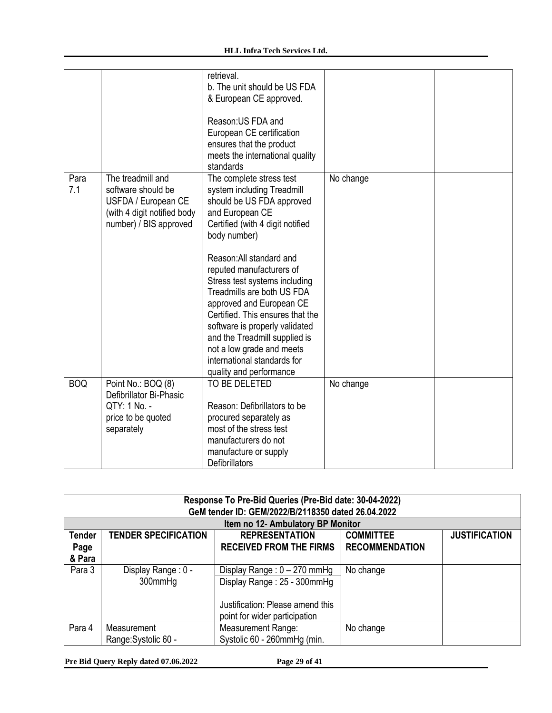|            |                             | retrieval.<br>b. The unit should be US FDA       |           |  |
|------------|-----------------------------|--------------------------------------------------|-----------|--|
|            |                             | & European CE approved.                          |           |  |
|            |                             |                                                  |           |  |
|            |                             | Reason: US FDA and                               |           |  |
|            |                             | European CE certification                        |           |  |
|            |                             | ensures that the product                         |           |  |
|            |                             | meets the international quality                  |           |  |
|            |                             | standards                                        |           |  |
| Para       | The treadmill and           | The complete stress test                         | No change |  |
| 7.1        | software should be          | system including Treadmill                       |           |  |
|            | USFDA / European CE         | should be US FDA approved                        |           |  |
|            | (with 4 digit notified body | and European CE                                  |           |  |
|            | number) / BIS approved      | Certified (with 4 digit notified<br>body number) |           |  |
|            |                             |                                                  |           |  |
|            |                             | Reason: All standard and                         |           |  |
|            |                             | reputed manufacturers of                         |           |  |
|            |                             | Stress test systems including                    |           |  |
|            |                             | Treadmills are both US FDA                       |           |  |
|            |                             | approved and European CE                         |           |  |
|            |                             | Certified. This ensures that the                 |           |  |
|            |                             | software is properly validated                   |           |  |
|            |                             | and the Treadmill supplied is                    |           |  |
|            |                             | not a low grade and meets                        |           |  |
|            |                             | international standards for                      |           |  |
| <b>BOQ</b> | Point No.: BOQ (8)          | quality and performance<br>TO BE DELETED         |           |  |
|            | Defibrillator Bi-Phasic     |                                                  | No change |  |
|            | QTY: 1 No. -                | Reason: Defibrillators to be                     |           |  |
|            | price to be quoted          | procured separately as                           |           |  |
|            | separately                  | most of the stress test                          |           |  |
|            |                             | manufacturers do not                             |           |  |
|            |                             | manufacture or supply                            |           |  |
|            |                             | <b>Defibrillators</b>                            |           |  |

|               | Response To Pre-Bid Queries (Pre-Bid date: 30-04-2022) |                                                    |                       |                      |
|---------------|--------------------------------------------------------|----------------------------------------------------|-----------------------|----------------------|
|               |                                                        | GeM tender ID: GEM/2022/B/2118350 dated 26.04.2022 |                       |                      |
|               |                                                        | Item no 12- Ambulatory BP Monitor                  |                       |                      |
| <b>Tender</b> | <b>TENDER SPECIFICATION</b>                            | <b>REPRESENTATION</b>                              | <b>COMMITTEE</b>      | <b>JUSTIFICATION</b> |
| Page          |                                                        | <b>RECEIVED FROM THE FIRMS</b>                     | <b>RECOMMENDATION</b> |                      |
| & Para        |                                                        |                                                    |                       |                      |
| Para 3        | Display Range: 0 -                                     | Display Range: $0 - 270$ mmHg                      | No change             |                      |
|               | 300mmHg                                                | Display Range: 25 - 300mmHg                        |                       |                      |
|               |                                                        |                                                    |                       |                      |
|               |                                                        | Justification: Please amend this                   |                       |                      |
|               |                                                        | point for wider participation                      |                       |                      |
| Para 4        | Measurement                                            | Measurement Range:                                 | No change             |                      |
|               | Range: Systolic 60 -                                   | Systolic 60 - 260mmHg (min.                        |                       |                      |

**Pre Bid Query Reply dated 07.06.2022 Page 29 of 41**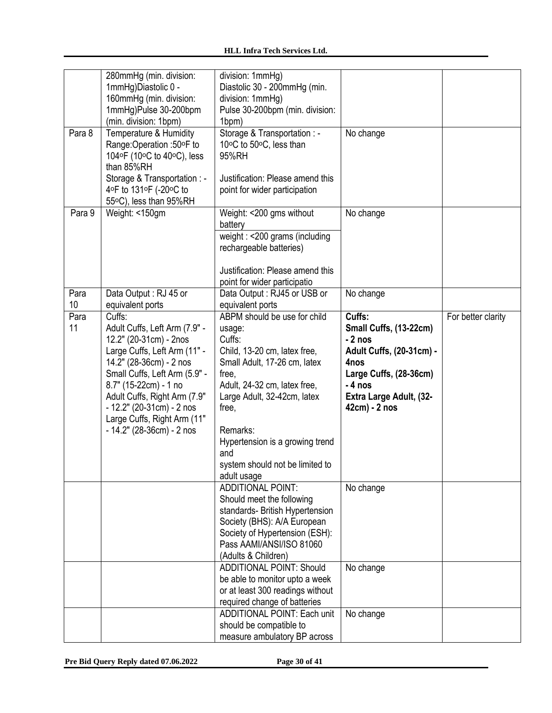|            | 280mmHg (min. division:<br>1mmHg)Diastolic 0 -<br>160mmHg (min. division:<br>1mmHg)Pulse 30-200bpm<br>(min. division: 1bpm)                                                                                                                                                                                         | division: 1mmHg)<br>Diastolic 30 - 200mmHg (min.<br>division: 1mmHg)<br>Pulse 30-200bpm (min. division:<br>1bpm)                                                                                                                                                                                          |                                                                                                                                                                           |                    |
|------------|---------------------------------------------------------------------------------------------------------------------------------------------------------------------------------------------------------------------------------------------------------------------------------------------------------------------|-----------------------------------------------------------------------------------------------------------------------------------------------------------------------------------------------------------------------------------------------------------------------------------------------------------|---------------------------------------------------------------------------------------------------------------------------------------------------------------------------|--------------------|
| Para 8     | Temperature & Humidity<br>Range:Operation :50°F to<br>104°F (10°C to 40°C), less<br>than 85%RH<br>Storage & Transportation : -                                                                                                                                                                                      | Storage & Transportation : -<br>10°C to 50°C, less than<br>95%RH<br>Justification: Please amend this                                                                                                                                                                                                      | No change                                                                                                                                                                 |                    |
|            | 4°F to 131°F (-20°C to<br>55°C), less than 95%RH                                                                                                                                                                                                                                                                    | point for wider participation                                                                                                                                                                                                                                                                             |                                                                                                                                                                           |                    |
| Para 9     | Weight: <150gm                                                                                                                                                                                                                                                                                                      | Weight: < 200 gms without<br>battery                                                                                                                                                                                                                                                                      | No change                                                                                                                                                                 |                    |
|            |                                                                                                                                                                                                                                                                                                                     | weight: <200 grams (including<br>rechargeable batteries)                                                                                                                                                                                                                                                  |                                                                                                                                                                           |                    |
|            |                                                                                                                                                                                                                                                                                                                     | Justification: Please amend this<br>point for wider participatio                                                                                                                                                                                                                                          |                                                                                                                                                                           |                    |
| Para<br>10 | Data Output: RJ 45 or<br>equivalent ports                                                                                                                                                                                                                                                                           | Data Output: RJ45 or USB or<br>equivalent ports                                                                                                                                                                                                                                                           | No change                                                                                                                                                                 |                    |
| Para<br>11 | Cuffs:<br>Adult Cuffs, Left Arm (7.9" -<br>12.2" (20-31cm) - 2nos<br>Large Cuffs, Left Arm (11" -<br>14.2" (28-36cm) - 2 nos<br>Small Cuffs, Left Arm (5.9" -<br>8.7" (15-22cm) - 1 no<br>Adult Cuffs, Right Arm (7.9"<br>$-12.2$ " (20-31cm) - 2 nos<br>Large Cuffs, Right Arm (11"<br>$-14.2$ " (28-36cm) - 2 nos | ABPM should be use for child<br>usage:<br>Cuffs:<br>Child, 13-20 cm, latex free,<br>Small Adult, 17-26 cm, latex<br>free,<br>Adult, 24-32 cm, latex free,<br>Large Adult, 32-42cm, latex<br>free,<br>Remarks:<br>Hypertension is a growing trend<br>and<br>system should not be limited to<br>adult usage | Cuffs:<br>Small Cuffs, (13-22cm)<br>$-2$ nos<br><b>Adult Cuffs, (20-31cm) -</b><br>4nos<br>Large Cuffs, (28-36cm)<br>$-4$ nos<br>Extra Large Adult, (32-<br>42cm) - 2 nos | For better clarity |
|            |                                                                                                                                                                                                                                                                                                                     | <b>ADDITIONAL POINT:</b><br>Should meet the following<br>standards- British Hypertension<br>Society (BHS): A/A European<br>Society of Hypertension (ESH):<br>Pass AAMI/ANSI/ISO 81060<br>(Adults & Children)                                                                                              | No change                                                                                                                                                                 |                    |
|            |                                                                                                                                                                                                                                                                                                                     | <b>ADDITIONAL POINT: Should</b><br>be able to monitor upto a week<br>or at least 300 readings without<br>required change of batteries                                                                                                                                                                     | No change                                                                                                                                                                 |                    |
|            |                                                                                                                                                                                                                                                                                                                     | <b>ADDITIONAL POINT: Each unit</b><br>should be compatible to<br>measure ambulatory BP across                                                                                                                                                                                                             | No change                                                                                                                                                                 |                    |

**Pre Bid Query Reply dated 07.06.2022 Page 30 of 41**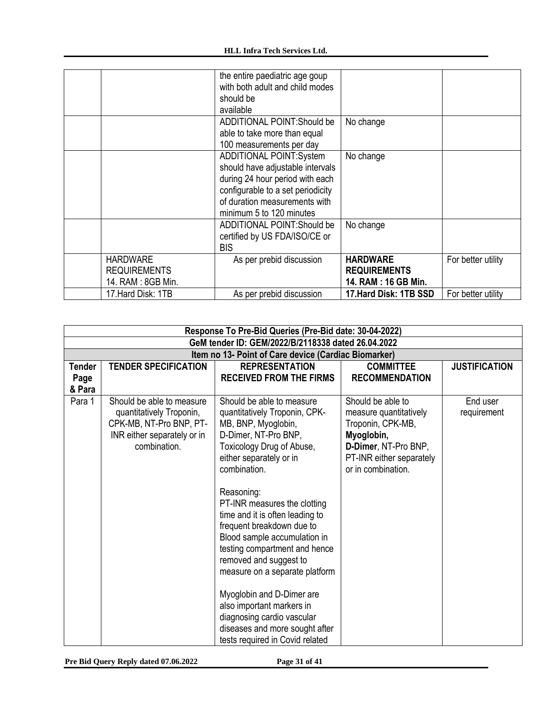|                     | the entire paediatric age goup    |                        |                    |
|---------------------|-----------------------------------|------------------------|--------------------|
|                     | with both adult and child modes   |                        |                    |
|                     | should be                         |                        |                    |
|                     |                                   |                        |                    |
|                     | available                         |                        |                    |
|                     | <b>ADDITIONAL POINT:Should be</b> | No change              |                    |
|                     | able to take more than equal      |                        |                    |
|                     | 100 measurements per day          |                        |                    |
|                     | <b>ADDITIONAL POINT:System</b>    | No change              |                    |
|                     | should have adjustable intervals  |                        |                    |
|                     | during 24 hour period with each   |                        |                    |
|                     | configurable to a set periodicity |                        |                    |
|                     | of duration measurements with     |                        |                    |
|                     | minimum 5 to 120 minutes          |                        |                    |
|                     | ADDITIONAL POINT: Should be       | No change              |                    |
|                     | certified by US FDA/ISO/CE or     |                        |                    |
|                     | <b>BIS</b>                        |                        |                    |
| <b>HARDWARE</b>     | As per prebid discussion          | <b>HARDWARE</b>        | For better utility |
| <b>REQUIREMENTS</b> |                                   | <b>REQUIREMENTS</b>    |                    |
| 14. RAM: 8GB Min.   |                                   | 14. RAM: 16 GB Min.    |                    |
| 17. Hard Disk: 1TB  | As per prebid discussion          | 17. Hard Disk: 1TB SSD | For better utility |
|                     |                                   |                        |                    |

| Response To Pre-Bid Queries (Pre-Bid date: 30-04-2022) |                                                                                                                                 |                                                                                                                                                                                                                                                                                                                                                                                                                                                                                                                                                                                           |                                                                                                                                                          |                         |
|--------------------------------------------------------|---------------------------------------------------------------------------------------------------------------------------------|-------------------------------------------------------------------------------------------------------------------------------------------------------------------------------------------------------------------------------------------------------------------------------------------------------------------------------------------------------------------------------------------------------------------------------------------------------------------------------------------------------------------------------------------------------------------------------------------|----------------------------------------------------------------------------------------------------------------------------------------------------------|-------------------------|
|                                                        |                                                                                                                                 | GeM tender ID: GEM/2022/B/2118338 dated 26.04.2022                                                                                                                                                                                                                                                                                                                                                                                                                                                                                                                                        |                                                                                                                                                          |                         |
|                                                        |                                                                                                                                 | Item no 13- Point of Care device (Cardiac Biomarker)                                                                                                                                                                                                                                                                                                                                                                                                                                                                                                                                      |                                                                                                                                                          |                         |
| <b>Tender</b><br>Page<br>& Para                        | <b>TENDER SPECIFICATION</b>                                                                                                     | <b>REPRESENTATION</b><br><b>RECEIVED FROM THE FIRMS</b>                                                                                                                                                                                                                                                                                                                                                                                                                                                                                                                                   | <b>COMMITTEE</b><br><b>RECOMMENDATION</b>                                                                                                                | <b>JUSTIFICATION</b>    |
| Para 1                                                 | Should be able to measure<br>quantitatively Troponin,<br>CPK-MB, NT-Pro BNP, PT-<br>INR either separately or in<br>combination. | Should be able to measure<br>quantitatively Troponin, CPK-<br>MB, BNP, Myoglobin,<br>D-Dimer, NT-Pro BNP,<br>Toxicology Drug of Abuse,<br>either separately or in<br>combination.<br>Reasoning:<br>PT-INR measures the clotting<br>time and it is often leading to<br>frequent breakdown due to<br>Blood sample accumulation in<br>testing compartment and hence<br>removed and suggest to<br>measure on a separate platform<br>Myoglobin and D-Dimer are<br>also important markers in<br>diagnosing cardio vascular<br>diseases and more sought after<br>tests required in Covid related | Should be able to<br>measure quantitatively<br>Troponin, CPK-MB,<br>Myoglobin,<br>D-Dimer, NT-Pro BNP,<br>PT-INR either separately<br>or in combination. | End user<br>requirement |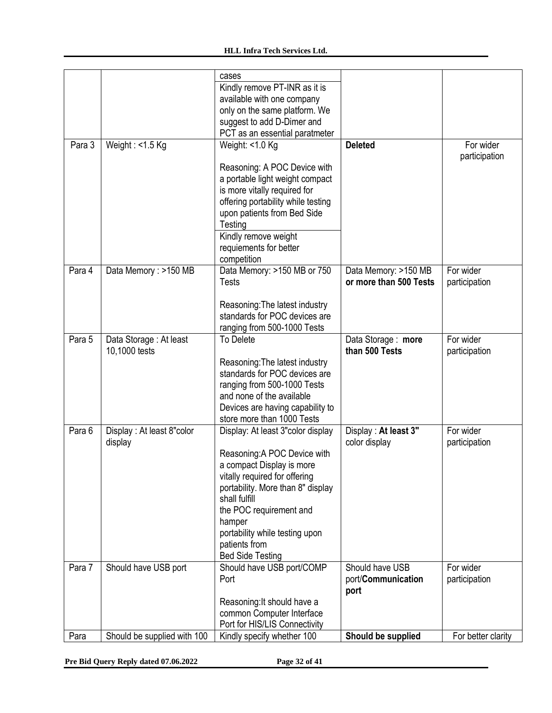|        |                             | cases                              |                        |                    |
|--------|-----------------------------|------------------------------------|------------------------|--------------------|
|        |                             | Kindly remove PT-INR as it is      |                        |                    |
|        |                             | available with one company         |                        |                    |
|        |                             | only on the same platform. We      |                        |                    |
|        |                             | suggest to add D-Dimer and         |                        |                    |
|        |                             | PCT as an essential paratmeter     |                        |                    |
| Para 3 | Weight: $<$ 1.5 Kg          | Weight: $<$ 1.0 Kg                 | <b>Deleted</b>         | For wider          |
|        |                             |                                    |                        | participation      |
|        |                             | Reasoning: A POC Device with       |                        |                    |
|        |                             | a portable light weight compact    |                        |                    |
|        |                             | is more vitally required for       |                        |                    |
|        |                             | offering portability while testing |                        |                    |
|        |                             | upon patients from Bed Side        |                        |                    |
|        |                             | Testing                            |                        |                    |
|        |                             | Kindly remove weight               |                        |                    |
|        |                             | requiements for better             |                        |                    |
|        |                             | competition                        |                        |                    |
| Para 4 | Data Memory: >150 MB        | Data Memory: >150 MB or 750        | Data Memory: >150 MB   | For wider          |
|        |                             | <b>Tests</b>                       | or more than 500 Tests | participation      |
|        |                             |                                    |                        |                    |
|        |                             | Reasoning: The latest industry     |                        |                    |
|        |                             | standards for POC devices are      |                        |                    |
|        |                             | ranging from 500-1000 Tests        |                        |                    |
| Para 5 | Data Storage: At least      | To Delete                          | Data Storage: more     | For wider          |
|        | 10,1000 tests               |                                    | than 500 Tests         | participation      |
|        |                             | Reasoning: The latest industry     |                        |                    |
|        |                             | standards for POC devices are      |                        |                    |
|        |                             | ranging from 500-1000 Tests        |                        |                    |
|        |                             | and none of the available          |                        |                    |
|        |                             | Devices are having capability to   |                        |                    |
|        |                             | store more than 1000 Tests         |                        |                    |
| Para 6 | Display: At least 8"color   | Display: At least 3"color display  | Display: At least 3"   | For wider          |
|        | display                     |                                    | color display          | participation      |
|        |                             | Reasoning:A POC Device with        |                        |                    |
|        |                             | a compact Display is more          |                        |                    |
|        |                             | vitally required for offering      |                        |                    |
|        |                             | portability. More than 8" display  |                        |                    |
|        |                             | shall fulfill                      |                        |                    |
|        |                             | the POC requirement and            |                        |                    |
|        |                             | hamper                             |                        |                    |
|        |                             | portability while testing upon     |                        |                    |
|        |                             | patients from                      |                        |                    |
|        |                             | <b>Bed Side Testing</b>            |                        |                    |
| Para 7 | Should have USB port        | Should have USB port/COMP          | Should have USB        | For wider          |
|        |                             | Port                               | port/Communication     | participation      |
|        |                             |                                    | port                   |                    |
|        |                             | Reasoning: It should have a        |                        |                    |
|        |                             | common Computer Interface          |                        |                    |
|        |                             | Port for HIS/LIS Connectivity      |                        |                    |
| Para   | Should be supplied with 100 | Kindly specify whether 100         | Should be supplied     | For better clarity |

**Pre Bid Query Reply dated 07.06.2022 Page 32 of 41**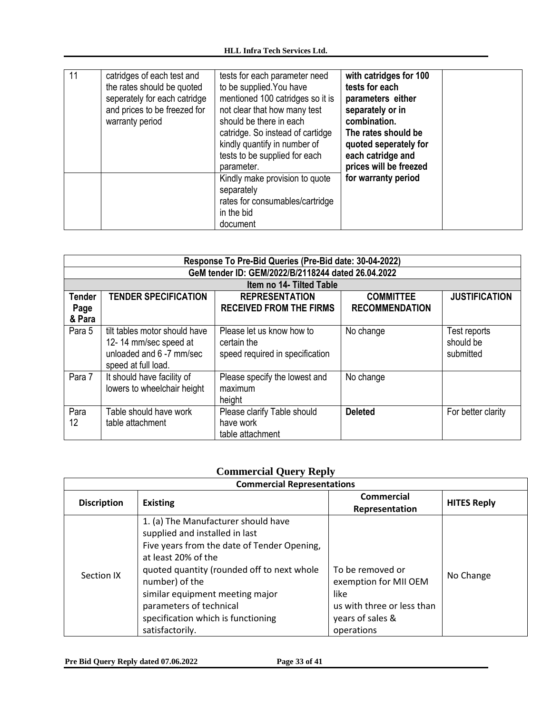| 11 | catridges of each test and<br>the rates should be quoted<br>seperately for each catridge<br>and prices to be freezed for<br>warranty period | tests for each parameter need<br>to be supplied. You have<br>mentioned 100 catridges so it is<br>not clear that how many test<br>should be there in each<br>catridge. So instead of cartidge<br>kindly quantify in number of<br>tests to be supplied for each<br>parameter. | with catridges for 100<br>tests for each<br>parameters either<br>separately or in<br>combination.<br>The rates should be<br>quoted seperately for<br>each catridge and<br>prices will be freezed |
|----|---------------------------------------------------------------------------------------------------------------------------------------------|-----------------------------------------------------------------------------------------------------------------------------------------------------------------------------------------------------------------------------------------------------------------------------|--------------------------------------------------------------------------------------------------------------------------------------------------------------------------------------------------|
|    |                                                                                                                                             | Kindly make provision to quote<br>separately<br>rates for consumables/cartridge<br>in the bid<br>document                                                                                                                                                                   | for warranty period                                                                                                                                                                              |

|                                 | Response To Pre-Bid Queries (Pre-Bid date: 30-04-2022)                                                    |                                                                             |                                           |                                        |  |
|---------------------------------|-----------------------------------------------------------------------------------------------------------|-----------------------------------------------------------------------------|-------------------------------------------|----------------------------------------|--|
|                                 |                                                                                                           | GeM tender ID: GEM/2022/B/2118244 dated 26.04.2022                          |                                           |                                        |  |
|                                 |                                                                                                           | Item no 14- Tilted Table                                                    |                                           |                                        |  |
| <b>Tender</b><br>Page<br>& Para | <b>TENDER SPECIFICATION</b>                                                                               | <b>REPRESENTATION</b><br><b>RECEIVED FROM THE FIRMS</b>                     | <b>COMMITTEE</b><br><b>RECOMMENDATION</b> | <b>JUSTIFICATION</b>                   |  |
| Para 5                          | tilt tables motor should have<br>12-14 mm/sec speed at<br>unloaded and 6 -7 mm/sec<br>speed at full load. | Please let us know how to<br>certain the<br>speed required in specification | No change                                 | Test reports<br>should be<br>submitted |  |
| Para 7                          | It should have facility of<br>lowers to wheelchair height                                                 | Please specify the lowest and<br>maximum<br>height                          | No change                                 |                                        |  |
| Para<br>12                      | Table should have work<br>table attachment                                                                | Please clarify Table should<br>have work<br>table attachment                | <b>Deleted</b>                            | For better clarity                     |  |

# **Commercial Query Reply**

| <b>Commercial Representations</b> |                                                                                                                                                                                                                                                                                                                                    |                                                                                                                   |                    |  |
|-----------------------------------|------------------------------------------------------------------------------------------------------------------------------------------------------------------------------------------------------------------------------------------------------------------------------------------------------------------------------------|-------------------------------------------------------------------------------------------------------------------|--------------------|--|
| <b>Discription</b>                | <b>Existing</b>                                                                                                                                                                                                                                                                                                                    | <b>Commercial</b><br>Representation                                                                               | <b>HITES Reply</b> |  |
| Section IX                        | 1. (a) The Manufacturer should have<br>supplied and installed in last<br>Five years from the date of Tender Opening,<br>at least 20% of the<br>quoted quantity (rounded off to next whole<br>number) of the<br>similar equipment meeting major<br>parameters of technical<br>specification which is functioning<br>satisfactorily. | To be removed or<br>exemption for MII OEM<br>like<br>us with three or less than<br>years of sales &<br>operations | No Change          |  |

**Pre Bid Query Reply dated 07.06.2022 Page 33 of 41**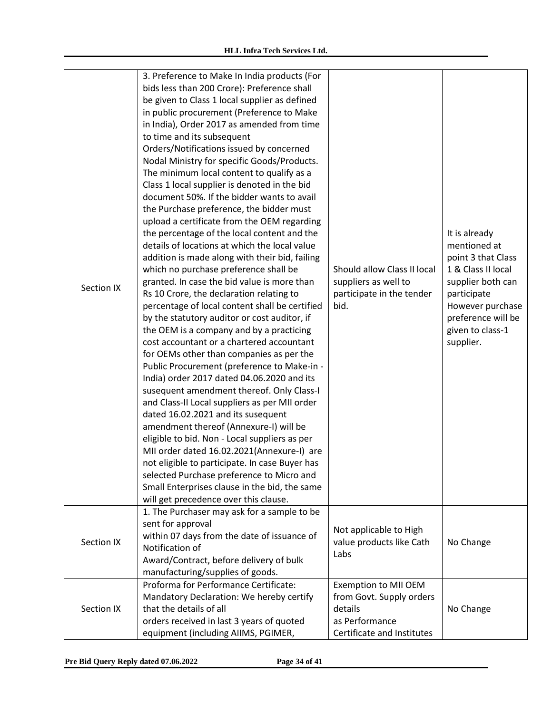| Section IX | 3. Preference to Make In India products (For<br>bids less than 200 Crore): Preference shall<br>be given to Class 1 local supplier as defined<br>in public procurement (Preference to Make<br>in India), Order 2017 as amended from time<br>to time and its subsequent<br>Orders/Notifications issued by concerned<br>Nodal Ministry for specific Goods/Products.<br>The minimum local content to qualify as a<br>Class 1 local supplier is denoted in the bid<br>document 50%. If the bidder wants to avail<br>the Purchase preference, the bidder must<br>upload a certificate from the OEM regarding<br>the percentage of the local content and the<br>details of locations at which the local value<br>addition is made along with their bid, failing<br>which no purchase preference shall be<br>granted. In case the bid value is more than<br>Rs 10 Crore, the declaration relating to<br>percentage of local content shall be certified<br>by the statutory auditor or cost auditor, if<br>the OEM is a company and by a practicing<br>cost accountant or a chartered accountant<br>for OEMs other than companies as per the<br>Public Procurement (preference to Make-in -<br>India) order 2017 dated 04.06.2020 and its<br>susequent amendment thereof. Only Class-I<br>and Class-II Local suppliers as per MII order<br>dated 16.02.2021 and its susequent<br>amendment thereof (Annexure-I) will be<br>eligible to bid. Non - Local suppliers as per<br>MII order dated 16.02.2021(Annexure-I) are<br>not eligible to participate. In case Buyer has<br>selected Purchase preference to Micro and<br>Small Enterprises clause in the bid, the same<br>will get precedence over this clause. | Should allow Class II local<br>suppliers as well to<br>participate in the tender<br>bid.                    | It is already<br>mentioned at<br>point 3 that Class<br>1 & Class II local<br>supplier both can<br>participate<br>However purchase<br>preference will be<br>given to class-1<br>supplier. |
|------------|--------------------------------------------------------------------------------------------------------------------------------------------------------------------------------------------------------------------------------------------------------------------------------------------------------------------------------------------------------------------------------------------------------------------------------------------------------------------------------------------------------------------------------------------------------------------------------------------------------------------------------------------------------------------------------------------------------------------------------------------------------------------------------------------------------------------------------------------------------------------------------------------------------------------------------------------------------------------------------------------------------------------------------------------------------------------------------------------------------------------------------------------------------------------------------------------------------------------------------------------------------------------------------------------------------------------------------------------------------------------------------------------------------------------------------------------------------------------------------------------------------------------------------------------------------------------------------------------------------------------------------------------------------------------------------------------------------|-------------------------------------------------------------------------------------------------------------|------------------------------------------------------------------------------------------------------------------------------------------------------------------------------------------|
| Section IX | 1. The Purchaser may ask for a sample to be<br>sent for approval<br>within 07 days from the date of issuance of<br>Notification of<br>Award/Contract, before delivery of bulk<br>manufacturing/supplies of goods.                                                                                                                                                                                                                                                                                                                                                                                                                                                                                                                                                                                                                                                                                                                                                                                                                                                                                                                                                                                                                                                                                                                                                                                                                                                                                                                                                                                                                                                                                      | Not applicable to High<br>value products like Cath<br>Labs                                                  | No Change                                                                                                                                                                                |
| Section IX | Proforma for Performance Certificate:<br>Mandatory Declaration: We hereby certify<br>that the details of all<br>orders received in last 3 years of quoted<br>equipment (including AIIMS, PGIMER,                                                                                                                                                                                                                                                                                                                                                                                                                                                                                                                                                                                                                                                                                                                                                                                                                                                                                                                                                                                                                                                                                                                                                                                                                                                                                                                                                                                                                                                                                                       | Exemption to MII OEM<br>from Govt. Supply orders<br>details<br>as Performance<br>Certificate and Institutes | No Change                                                                                                                                                                                |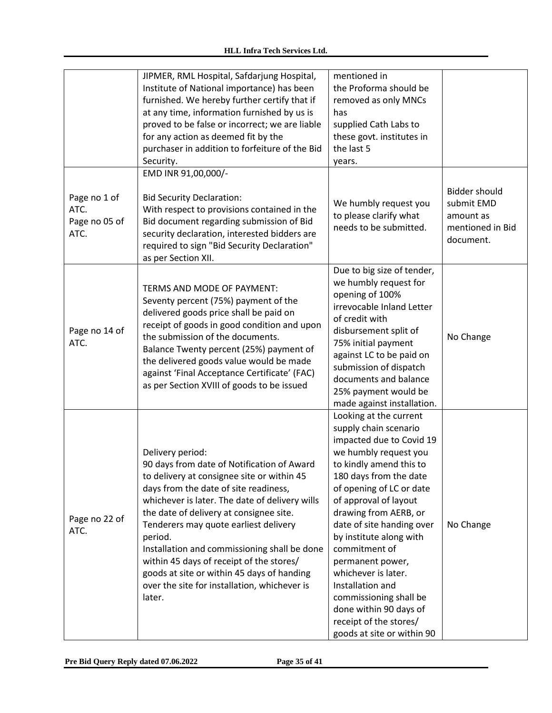|                                               | JIPMER, RML Hospital, Safdarjung Hospital,<br>Institute of National importance) has been<br>furnished. We hereby further certify that if<br>at any time, information furnished by us is<br>proved to be false or incorrect; we are liable<br>for any action as deemed fit by the<br>purchaser in addition to forfeiture of the Bid<br>Security.                                                                                                                                                            | mentioned in<br>the Proforma should be<br>removed as only MNCs<br>has<br>supplied Cath Labs to<br>these govt. institutes in<br>the last 5<br>years.                                                                                                                                                                                                                                                                                                                                         |                                                                                  |
|-----------------------------------------------|------------------------------------------------------------------------------------------------------------------------------------------------------------------------------------------------------------------------------------------------------------------------------------------------------------------------------------------------------------------------------------------------------------------------------------------------------------------------------------------------------------|---------------------------------------------------------------------------------------------------------------------------------------------------------------------------------------------------------------------------------------------------------------------------------------------------------------------------------------------------------------------------------------------------------------------------------------------------------------------------------------------|----------------------------------------------------------------------------------|
| Page no 1 of<br>ATC.<br>Page no 05 of<br>ATC. | EMD INR 91,00,000/-<br><b>Bid Security Declaration:</b><br>With respect to provisions contained in the<br>Bid document regarding submission of Bid<br>security declaration, interested bidders are<br>required to sign "Bid Security Declaration"<br>as per Section XII.                                                                                                                                                                                                                                   | We humbly request you<br>to please clarify what<br>needs to be submitted.                                                                                                                                                                                                                                                                                                                                                                                                                   | <b>Bidder should</b><br>submit EMD<br>amount as<br>mentioned in Bid<br>document. |
| Page no 14 of<br>ATC.                         | TERMS AND MODE OF PAYMENT:<br>Seventy percent (75%) payment of the<br>delivered goods price shall be paid on<br>receipt of goods in good condition and upon<br>the submission of the documents.<br>Balance Twenty percent (25%) payment of<br>the delivered goods value would be made<br>against 'Final Acceptance Certificate' (FAC)<br>as per Section XVIII of goods to be issued                                                                                                                        | Due to big size of tender,<br>we humbly request for<br>opening of 100%<br>irrevocable Inland Letter<br>of credit with<br>disbursement split of<br>75% initial payment<br>against LC to be paid on<br>submission of dispatch<br>documents and balance<br>25% payment would be<br>made against installation.                                                                                                                                                                                  | No Change                                                                        |
| Page no 22 of<br>ATC.                         | Delivery period:<br>90 days from date of Notification of Award<br>to delivery at consignee site or within 45<br>days from the date of site readiness,<br>whichever is later. The date of delivery wills<br>the date of delivery at consignee site.<br>Tenderers may quote earliest delivery<br>period.<br>Installation and commissioning shall be done<br>within 45 days of receipt of the stores/<br>goods at site or within 45 days of handing<br>over the site for installation, whichever is<br>later. | Looking at the current<br>supply chain scenario<br>impacted due to Covid 19<br>we humbly request you<br>to kindly amend this to<br>180 days from the date<br>of opening of LC or date<br>of approval of layout<br>drawing from AERB, or<br>date of site handing over<br>by institute along with<br>commitment of<br>permanent power,<br>whichever is later.<br>Installation and<br>commissioning shall be<br>done within 90 days of<br>receipt of the stores/<br>goods at site or within 90 | No Change                                                                        |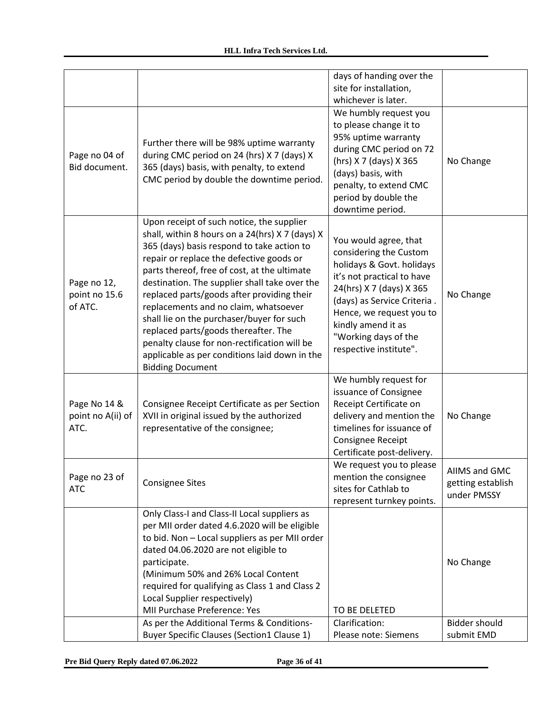|                                           |                                                                                                                                                                                                                                                                                                                                                                                                                                                                                                                                                                                                 | days of handing over the<br>site for installation,<br>whichever is later.                                                                                                                                                                                                 |                                                   |
|-------------------------------------------|-------------------------------------------------------------------------------------------------------------------------------------------------------------------------------------------------------------------------------------------------------------------------------------------------------------------------------------------------------------------------------------------------------------------------------------------------------------------------------------------------------------------------------------------------------------------------------------------------|---------------------------------------------------------------------------------------------------------------------------------------------------------------------------------------------------------------------------------------------------------------------------|---------------------------------------------------|
| Page no 04 of<br>Bid document.            | Further there will be 98% uptime warranty<br>during CMC period on 24 (hrs) X 7 (days) X<br>365 (days) basis, with penalty, to extend<br>CMC period by double the downtime period.                                                                                                                                                                                                                                                                                                                                                                                                               | We humbly request you<br>to please change it to<br>95% uptime warranty<br>during CMC period on 72<br>(hrs) X 7 (days) X 365<br>(days) basis, with<br>penalty, to extend CMC<br>period by double the<br>downtime period.                                                   | No Change                                         |
| Page no 12,<br>point no 15.6<br>of ATC.   | Upon receipt of such notice, the supplier<br>shall, within 8 hours on a 24(hrs) X 7 (days) X<br>365 (days) basis respond to take action to<br>repair or replace the defective goods or<br>parts thereof, free of cost, at the ultimate<br>destination. The supplier shall take over the<br>replaced parts/goods after providing their<br>replacements and no claim, whatsoever<br>shall lie on the purchaser/buyer for such<br>replaced parts/goods thereafter. The<br>penalty clause for non-rectification will be<br>applicable as per conditions laid down in the<br><b>Bidding Document</b> | You would agree, that<br>considering the Custom<br>holidays & Govt. holidays<br>it's not practical to have<br>24(hrs) X 7 (days) X 365<br>(days) as Service Criteria.<br>Hence, we request you to<br>kindly amend it as<br>"Working days of the<br>respective institute". | No Change                                         |
| Page No 14 &<br>point no A(ii) of<br>ATC. | Consignee Receipt Certificate as per Section<br>XVII in original issued by the authorized<br>representative of the consignee;                                                                                                                                                                                                                                                                                                                                                                                                                                                                   | We humbly request for<br>issuance of Consignee<br>Receipt Certificate on<br>delivery and mention the<br>timelines for issuance of<br>Consignee Receipt<br>Certificate post-delivery.                                                                                      | No Change                                         |
| Page no 23 of<br><b>ATC</b>               | <b>Consignee Sites</b>                                                                                                                                                                                                                                                                                                                                                                                                                                                                                                                                                                          | We request you to please<br>mention the consignee<br>sites for Cathlab to<br>represent turnkey points.                                                                                                                                                                    | AIIMS and GMC<br>getting establish<br>under PMSSY |
|                                           | Only Class-I and Class-II Local suppliers as<br>per MII order dated 4.6.2020 will be eligible<br>to bid. Non - Local suppliers as per MII order<br>dated 04.06.2020 are not eligible to<br>participate.<br>(Minimum 50% and 26% Local Content<br>required for qualifying as Class 1 and Class 2<br>Local Supplier respectively)<br>MII Purchase Preference: Yes                                                                                                                                                                                                                                 | TO BE DELETED                                                                                                                                                                                                                                                             | No Change                                         |
|                                           | As per the Additional Terms & Conditions-<br><b>Buyer Specific Clauses (Section1 Clause 1)</b>                                                                                                                                                                                                                                                                                                                                                                                                                                                                                                  | Clarification:<br>Please note: Siemens                                                                                                                                                                                                                                    | <b>Bidder should</b><br>submit EMD                |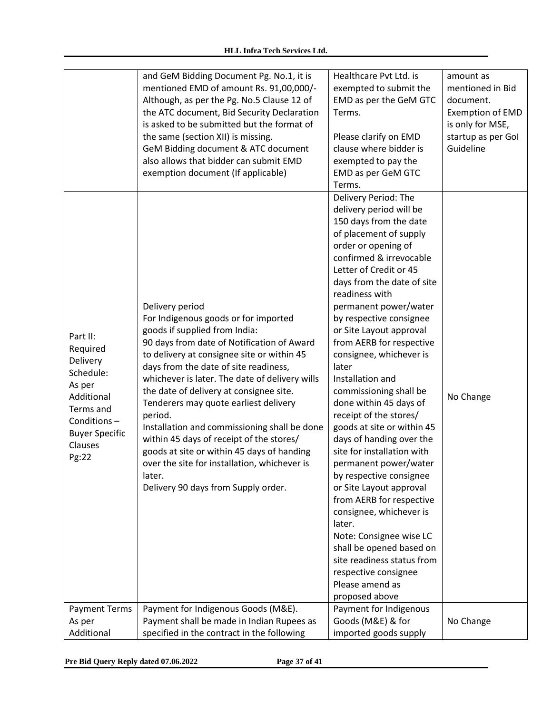|                                                                                                                                                                        | and GeM Bidding Document Pg. No.1, it is<br>mentioned EMD of amount Rs. 91,00,000/-<br>Although, as per the Pg. No.5 Clause 12 of<br>the ATC document, Bid Security Declaration<br>is asked to be submitted but the format of<br>the same (section XII) is missing.<br>GeM Bidding document & ATC document<br>also allows that bidder can submit EMD                                                                                                                                                                                                                                                                                                                                                   | Healthcare Pvt Ltd. is<br>exempted to submit the<br>EMD as per the GeM GTC<br>Terms.<br>Please clarify on EMD<br>clause where bidder is<br>exempted to pay the                                                                                                                                                                                                                                                                                                                                                                                                                                                                                                                                                                                                                                                                                                                                                                       | amount as<br>mentioned in Bid<br>document.<br><b>Exemption of EMD</b><br>is only for MSE,<br>startup as per Gol<br>Guideline |
|------------------------------------------------------------------------------------------------------------------------------------------------------------------------|--------------------------------------------------------------------------------------------------------------------------------------------------------------------------------------------------------------------------------------------------------------------------------------------------------------------------------------------------------------------------------------------------------------------------------------------------------------------------------------------------------------------------------------------------------------------------------------------------------------------------------------------------------------------------------------------------------|--------------------------------------------------------------------------------------------------------------------------------------------------------------------------------------------------------------------------------------------------------------------------------------------------------------------------------------------------------------------------------------------------------------------------------------------------------------------------------------------------------------------------------------------------------------------------------------------------------------------------------------------------------------------------------------------------------------------------------------------------------------------------------------------------------------------------------------------------------------------------------------------------------------------------------------|------------------------------------------------------------------------------------------------------------------------------|
| Part II:<br>Required<br>Delivery<br>Schedule:<br>As per<br>Additional<br>Terms and<br>Conditions-<br><b>Buyer Specific</b><br>Clauses<br>Pg:22<br><b>Payment Terms</b> | exemption document (If applicable)<br>Delivery period<br>For Indigenous goods or for imported<br>goods if supplied from India:<br>90 days from date of Notification of Award<br>to delivery at consignee site or within 45<br>days from the date of site readiness,<br>whichever is later. The date of delivery wills<br>the date of delivery at consignee site.<br>Tenderers may quote earliest delivery<br>period.<br>Installation and commissioning shall be done<br>within 45 days of receipt of the stores/<br>goods at site or within 45 days of handing<br>over the site for installation, whichever is<br>later.<br>Delivery 90 days from Supply order.<br>Payment for Indigenous Goods (M&E). | EMD as per GeM GTC<br>Terms.<br>Delivery Period: The<br>delivery period will be<br>150 days from the date<br>of placement of supply<br>order or opening of<br>confirmed & irrevocable<br>Letter of Credit or 45<br>days from the date of site<br>readiness with<br>permanent power/water<br>by respective consignee<br>or Site Layout approval<br>from AERB for respective<br>consignee, whichever is<br>later<br>Installation and<br>commissioning shall be<br>done within 45 days of<br>receipt of the stores/<br>goods at site or within 45<br>days of handing over the<br>site for installation with<br>permanent power/water<br>by respective consignee<br>or Site Layout approval<br>from AERB for respective<br>consignee, whichever is<br>later.<br>Note: Consignee wise LC<br>shall be opened based on<br>site readiness status from<br>respective consignee<br>Please amend as<br>proposed above<br>Payment for Indigenous | No Change                                                                                                                    |
| As per<br>Additional                                                                                                                                                   | Payment shall be made in Indian Rupees as<br>specified in the contract in the following                                                                                                                                                                                                                                                                                                                                                                                                                                                                                                                                                                                                                | Goods (M&E) & for<br>imported goods supply                                                                                                                                                                                                                                                                                                                                                                                                                                                                                                                                                                                                                                                                                                                                                                                                                                                                                           | No Change                                                                                                                    |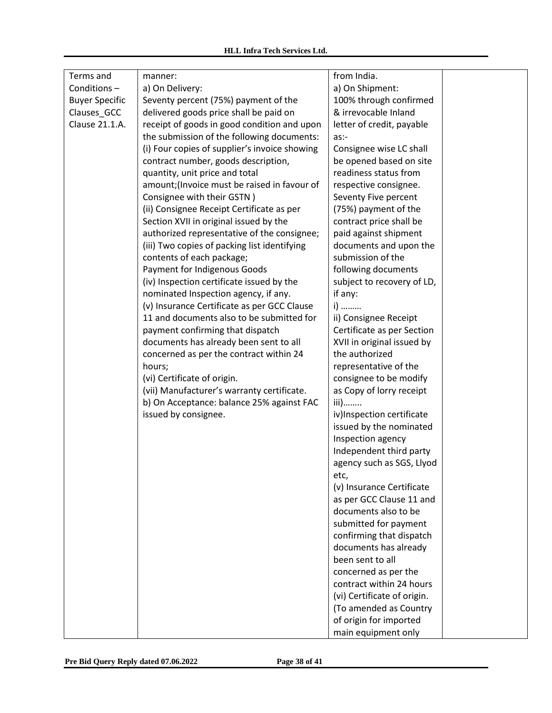| Terms and             | manner:                                       | from India.                 |  |
|-----------------------|-----------------------------------------------|-----------------------------|--|
| Conditions-           | a) On Delivery:                               | a) On Shipment:             |  |
| <b>Buyer Specific</b> | Seventy percent (75%) payment of the          | 100% through confirmed      |  |
| Clauses_GCC           | delivered goods price shall be paid on        | & irrevocable Inland        |  |
| Clause 21.1.A.        | receipt of goods in good condition and upon   | letter of credit, payable   |  |
|                       | the submission of the following documents:    | as:                         |  |
|                       | (i) Four copies of supplier's invoice showing | Consignee wise LC shall     |  |
|                       | contract number, goods description,           | be opened based on site     |  |
|                       | quantity, unit price and total                | readiness status from       |  |
|                       | amount; (Invoice must be raised in favour of  | respective consignee.       |  |
|                       | Consignee with their GSTN)                    | Seventy Five percent        |  |
|                       | (ii) Consignee Receipt Certificate as per     | (75%) payment of the        |  |
|                       | Section XVII in original issued by the        | contract price shall be     |  |
|                       | authorized representative of the consignee;   | paid against shipment       |  |
|                       | (iii) Two copies of packing list identifying  | documents and upon the      |  |
|                       | contents of each package;                     | submission of the           |  |
|                       | Payment for Indigenous Goods                  | following documents         |  |
|                       | (iv) Inspection certificate issued by the     | subject to recovery of LD,  |  |
|                       | nominated Inspection agency, if any.          | if any:                     |  |
|                       | (v) Insurance Certificate as per GCC Clause   | i)                          |  |
|                       | 11 and documents also to be submitted for     | ii) Consignee Receipt       |  |
|                       | payment confirming that dispatch              | Certificate as per Section  |  |
|                       | documents has already been sent to all        | XVII in original issued by  |  |
|                       | concerned as per the contract within 24       | the authorized              |  |
|                       | hours;                                        | representative of the       |  |
|                       | (vi) Certificate of origin.                   | consignee to be modify      |  |
|                       | (vii) Manufacturer's warranty certificate.    | as Copy of lorry receipt    |  |
|                       | b) On Acceptance: balance 25% against FAC     | $iii)$                      |  |
|                       | issued by consignee.                          | iv)Inspection certificate   |  |
|                       |                                               | issued by the nominated     |  |
|                       |                                               | Inspection agency           |  |
|                       |                                               | Independent third party     |  |
|                       |                                               | agency such as SGS, Llyod   |  |
|                       |                                               | etc,                        |  |
|                       |                                               | (v) Insurance Certificate   |  |
|                       |                                               | as per GCC Clause 11 and    |  |
|                       |                                               | documents also to be        |  |
|                       |                                               | submitted for payment       |  |
|                       |                                               | confirming that dispatch    |  |
|                       |                                               | documents has already       |  |
|                       |                                               | been sent to all            |  |
|                       |                                               | concerned as per the        |  |
|                       |                                               | contract within 24 hours    |  |
|                       |                                               | (vi) Certificate of origin. |  |
|                       |                                               | (To amended as Country      |  |
|                       |                                               | of origin for imported      |  |
|                       |                                               | main equipment only         |  |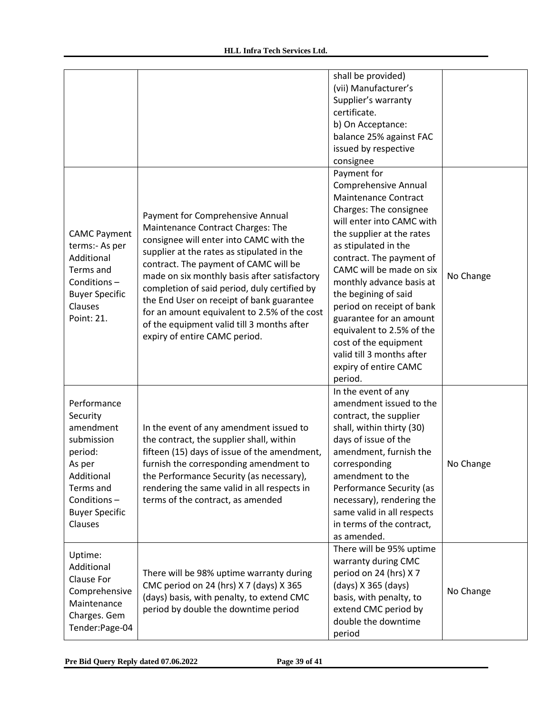|                                                                                                                                                       |                                                                                                                                                                                                                                                                                                                                                                                                                                                                                     | shall be provided)<br>(vii) Manufacturer's<br>Supplier's warranty<br>certificate.<br>b) On Acceptance:<br>balance 25% against FAC<br>issued by respective<br>consignee                                                                                                                                                                                                                                                                                                           |           |
|-------------------------------------------------------------------------------------------------------------------------------------------------------|-------------------------------------------------------------------------------------------------------------------------------------------------------------------------------------------------------------------------------------------------------------------------------------------------------------------------------------------------------------------------------------------------------------------------------------------------------------------------------------|----------------------------------------------------------------------------------------------------------------------------------------------------------------------------------------------------------------------------------------------------------------------------------------------------------------------------------------------------------------------------------------------------------------------------------------------------------------------------------|-----------|
| <b>CAMC Payment</b><br>terms:- As per<br>Additional<br>Terms and<br>Conditions-<br><b>Buyer Specific</b><br>Clauses<br>Point: 21.                     | Payment for Comprehensive Annual<br>Maintenance Contract Charges: The<br>consignee will enter into CAMC with the<br>supplier at the rates as stipulated in the<br>contract. The payment of CAMC will be<br>made on six monthly basis after satisfactory<br>completion of said period, duly certified by<br>the End User on receipt of bank guarantee<br>for an amount equivalent to 2.5% of the cost<br>of the equipment valid till 3 months after<br>expiry of entire CAMC period. | Payment for<br><b>Comprehensive Annual</b><br><b>Maintenance Contract</b><br>Charges: The consignee<br>will enter into CAMC with<br>the supplier at the rates<br>as stipulated in the<br>contract. The payment of<br>CAMC will be made on six<br>monthly advance basis at<br>the begining of said<br>period on receipt of bank<br>guarantee for an amount<br>equivalent to 2.5% of the<br>cost of the equipment<br>valid till 3 months after<br>expiry of entire CAMC<br>period. | No Change |
| Performance<br>Security<br>amendment<br>submission<br>period:<br>As per<br>Additional<br>Terms and<br>Conditions-<br><b>Buyer Specific</b><br>Clauses | In the event of any amendment issued to<br>the contract, the supplier shall, within<br>fifteen (15) days of issue of the amendment,<br>furnish the corresponding amendment to<br>the Performance Security (as necessary),<br>rendering the same valid in all respects in<br>terms of the contract, as amended                                                                                                                                                                       | In the event of any<br>amendment issued to the<br>contract, the supplier<br>shall, within thirty (30)<br>days of issue of the<br>amendment, furnish the<br>corresponding<br>amendment to the<br>Performance Security (as<br>necessary), rendering the<br>same valid in all respects<br>in terms of the contract,<br>as amended.                                                                                                                                                  | No Change |
| Uptime:<br>Additional<br>Clause For<br>Comprehensive<br>Maintenance<br>Charges. Gem<br>Tender:Page-04                                                 | There will be 98% uptime warranty during<br>CMC period on 24 (hrs) X 7 (days) X 365<br>(days) basis, with penalty, to extend CMC<br>period by double the downtime period                                                                                                                                                                                                                                                                                                            | There will be 95% uptime<br>warranty during CMC<br>period on 24 (hrs) X 7<br>(days) X 365 (days)<br>basis, with penalty, to<br>extend CMC period by<br>double the downtime<br>period                                                                                                                                                                                                                                                                                             | No Change |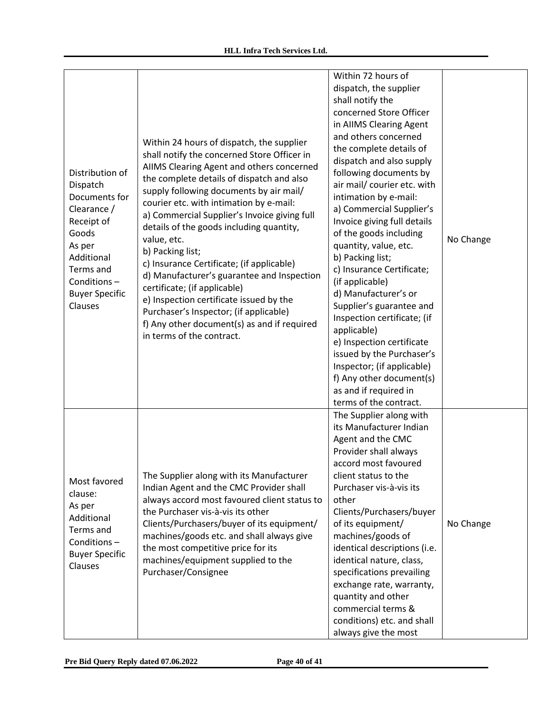| Distribution of<br>Dispatch<br>Documents for<br>Clearance /<br>Receipt of<br>Goods<br>As per<br>Additional<br>Terms and<br>Conditions-<br><b>Buyer Specific</b><br>Clauses | Within 24 hours of dispatch, the supplier<br>shall notify the concerned Store Officer in<br>AIIMS Clearing Agent and others concerned<br>the complete details of dispatch and also<br>supply following documents by air mail/<br>courier etc. with intimation by e-mail:<br>a) Commercial Supplier's Invoice giving full<br>details of the goods including quantity,<br>value, etc.<br>b) Packing list;<br>c) Insurance Certificate; (if applicable)<br>d) Manufacturer's guarantee and Inspection<br>certificate; (if applicable)<br>e) Inspection certificate issued by the<br>Purchaser's Inspector; (if applicable)<br>f) Any other document(s) as and if required<br>in terms of the contract. | Within 72 hours of<br>dispatch, the supplier<br>shall notify the<br>concerned Store Officer<br>in AIIMS Clearing Agent<br>and others concerned<br>the complete details of<br>dispatch and also supply<br>following documents by<br>air mail/ courier etc. with<br>intimation by e-mail:<br>a) Commercial Supplier's<br>Invoice giving full details<br>of the goods including<br>quantity, value, etc.<br>b) Packing list;<br>c) Insurance Certificate;<br>(if applicable)<br>d) Manufacturer's or<br>Supplier's guarantee and<br>Inspection certificate; (if<br>applicable)<br>e) Inspection certificate<br>issued by the Purchaser's<br>Inspector; (if applicable)<br>f) Any other document(s)<br>as and if required in<br>terms of the contract. | No Change |
|----------------------------------------------------------------------------------------------------------------------------------------------------------------------------|-----------------------------------------------------------------------------------------------------------------------------------------------------------------------------------------------------------------------------------------------------------------------------------------------------------------------------------------------------------------------------------------------------------------------------------------------------------------------------------------------------------------------------------------------------------------------------------------------------------------------------------------------------------------------------------------------------|----------------------------------------------------------------------------------------------------------------------------------------------------------------------------------------------------------------------------------------------------------------------------------------------------------------------------------------------------------------------------------------------------------------------------------------------------------------------------------------------------------------------------------------------------------------------------------------------------------------------------------------------------------------------------------------------------------------------------------------------------|-----------|
| Most favored<br>clause:<br>As per<br>Additional<br>Terms and<br>Conditions-<br><b>Buyer Specific</b><br>Clauses                                                            | The Supplier along with its Manufacturer<br>Indian Agent and the CMC Provider shall<br>always accord most favoured client status to<br>the Purchaser vis-à-vis its other<br>Clients/Purchasers/buyer of its equipment/<br>machines/goods etc. and shall always give<br>the most competitive price for its<br>machines/equipment supplied to the<br>Purchaser/Consignee                                                                                                                                                                                                                                                                                                                              | The Supplier along with<br>its Manufacturer Indian<br>Agent and the CMC<br>Provider shall always<br>accord most favoured<br>client status to the<br>Purchaser vis-à-vis its<br>other<br>Clients/Purchasers/buyer<br>of its equipment/<br>machines/goods of<br>identical descriptions (i.e.<br>identical nature, class,<br>specifications prevailing<br>exchange rate, warranty,<br>quantity and other<br>commercial terms &<br>conditions) etc. and shall<br>always give the most                                                                                                                                                                                                                                                                  | No Change |